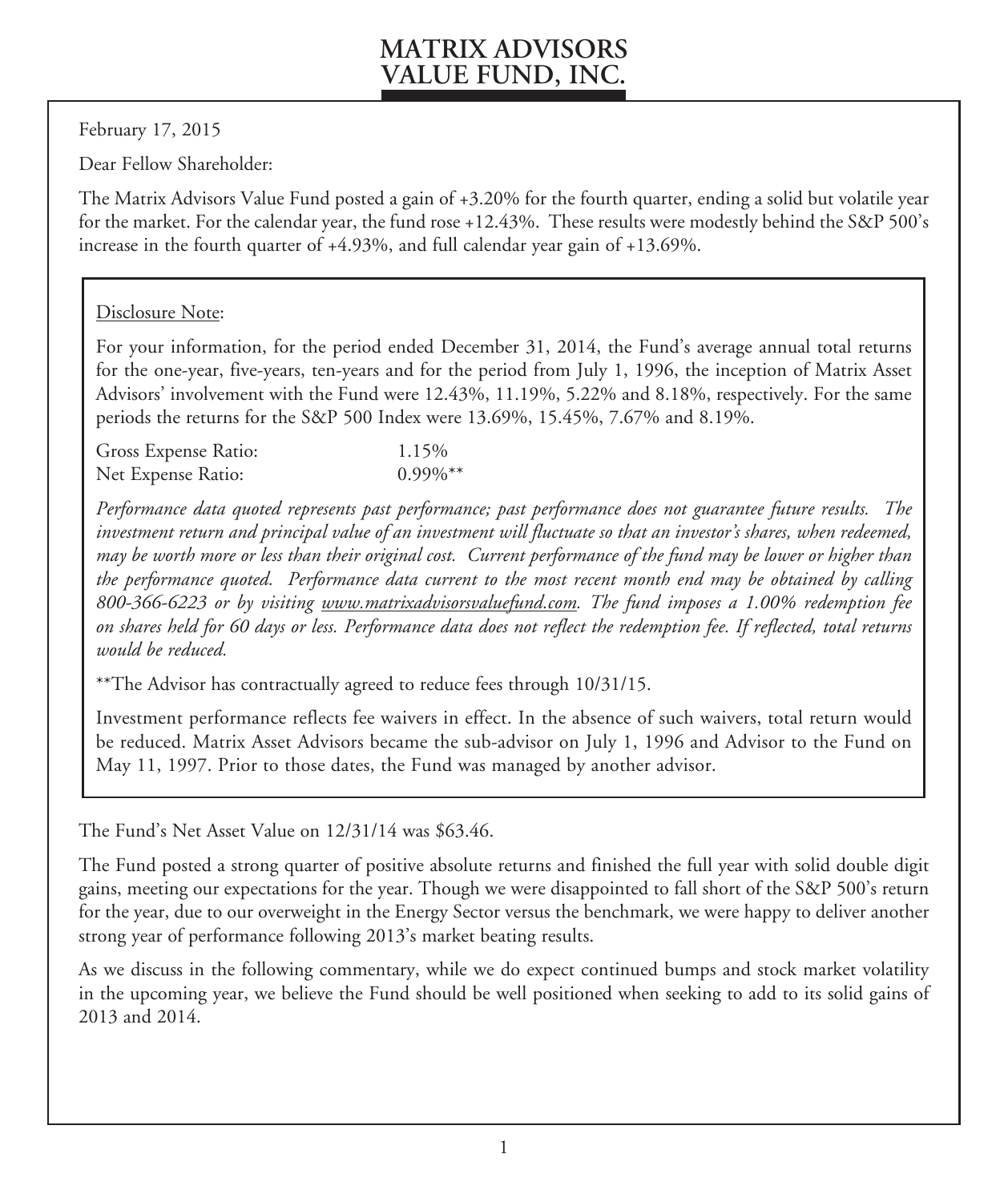February 17, 2015

Dear Fellow Shareholder:

The Matrix Advisors Value Fund posted a gain of +3.20% for the fourth quarter, ending a solid but volatile year for the market. For the calendar year, the fund rose +12.43%. These results were modestly behind the S&P 500's increase in the fourth quarter of +4.93%, and full calendar year gain of +13.69%.

### Disclosure Note:

For your information, for the period ended December 31, 2014, the Fund's average annual total returns for the one-year, five-years, ten-years and for the period from July 1, 1996, the inception of Matrix Asset Advisors' involvement with the Fund were 12.43%, 11.19%, 5.22% and 8.18%, respectively. For the same periods the returns for the S&P 500 Index were 13.69%, 15.45%, 7.67% and 8.19%.

| Gross Expense Ratio: | 1.15%       |
|----------------------|-------------|
| Net Expense Ratio:   | $0.99\%$ ** |

*Performance data quoted represents past performance; past performance does not guarantee future results. The investment return and principal value of an investment will fluctuate so that an investor's shares, when redeemed, may be worth more or less than their original cost. Current performance of the fund may be lower or higher than the performance quoted. Performance data current to the most recent month end may be obtained by calling 800-366-6223 or by visiting www.matrixadvisorsvaluefund.com. The fund imposes a 1.00% redemption fee on shares held for 60 days or less. Performance data does not reflect the redemption fee. If reflected, total returns would be reduced.*

\*\*The Advisor has contractually agreed to reduce fees through 10/31/15.

Investment performance reflects fee waivers in effect. In the absence of such waivers, total return would be reduced. Matrix Asset Advisors became the sub-advisor on July 1, 1996 and Advisor to the Fund on May 11, 1997. Prior to those dates, the Fund was managed by another advisor.

The Fund's Net Asset Value on 12/31/14 was \$63.46.

The Fund posted a strong quarter of positive absolute returns and finished the full year with solid double digit gains, meeting our expectations for the year. Though we were disappointed to fall short of the S&P 500's return for the year, due to our overweight in the Energy Sector versus the benchmark, we were happy to deliver another strong year of performance following 2013's market beating results.

As we discuss in the following commentary, while we do expect continued bumps and stock market volatility in the upcoming year, we believe the Fund should be well positioned when seeking to add to its solid gains of 2013 and 2014.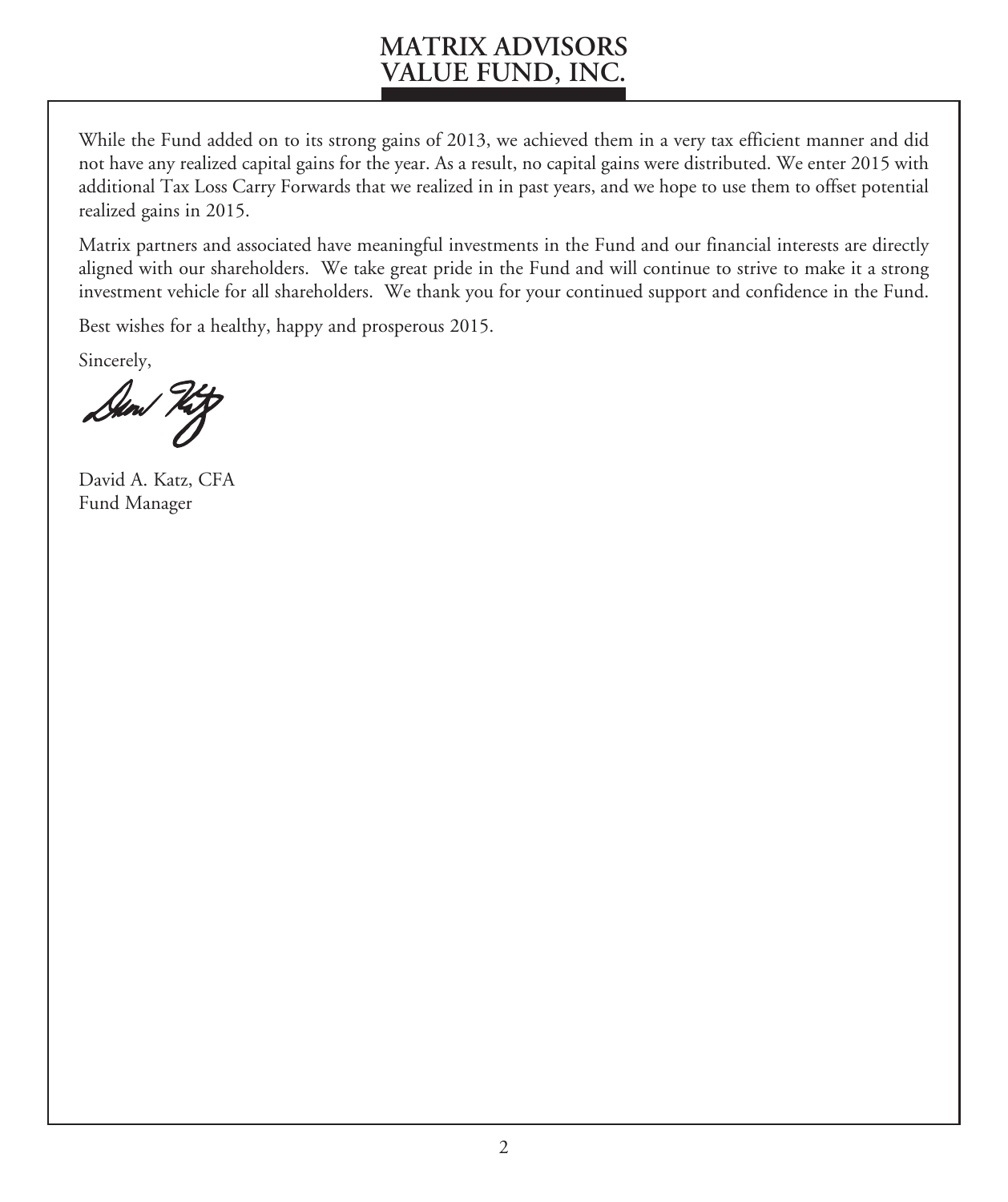While the Fund added on to its strong gains of 2013, we achieved them in a very tax efficient manner and did not have any realized capital gains for the year. As a result, no capital gains were distributed. We enter 2015 with additional Tax Loss Carry Forwards that we realized in in past years, and we hope to use them to offset potential realized gains in 2015.

Matrix partners and associated have meaningful investments in the Fund and our financial interests are directly aligned with our shareholders. We take great pride in the Fund and will continue to strive to make it a strong investment vehicle for all shareholders. We thank you for your continued support and confidence in the Fund.

Best wishes for a healthy, happy and prosperous 2015.

Sincerely,

David A. Katz, CFA Fund Manager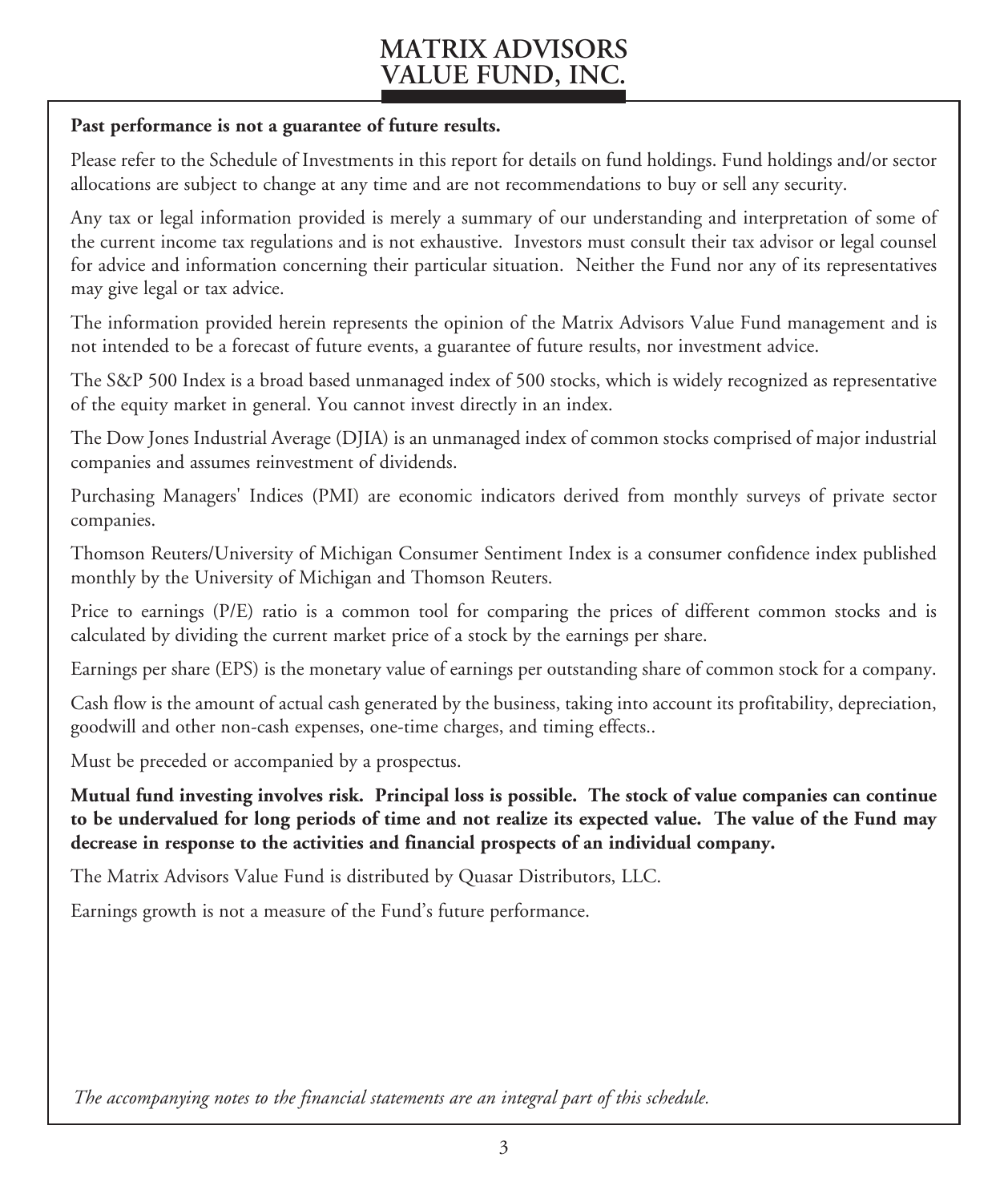#### **Past performance is not a guarantee of future results.**

Please refer to the Schedule of Investments in this report for details on fund holdings. Fund holdings and/or sector allocations are subject to change at any time and are not recommendations to buy or sell any security.

Any tax or legal information provided is merely a summary of our understanding and interpretation of some of the current income tax regulations and is not exhaustive. Investors must consult their tax advisor or legal counsel for advice and information concerning their particular situation. Neither the Fund nor any of its representatives may give legal or tax advice.

The information provided herein represents the opinion of the Matrix Advisors Value Fund management and is not intended to be a forecast of future events, a guarantee of future results, nor investment advice.

The S&P 500 Index is a broad based unmanaged index of 500 stocks, which is widely recognized as representative of the equity market in general. You cannot invest directly in an index.

The Dow Jones Industrial Average (DJIA) is an unmanaged index of common stocks comprised of major industrial companies and assumes reinvestment of dividends.

Purchasing Managers' Indices (PMI) are economic indicators derived from monthly surveys of private sector companies.

Thomson Reuters/University of Michigan Consumer Sentiment Index is a consumer confidence index published monthly by the University of Michigan and Thomson Reuters.

Price to earnings (P/E) ratio is a common tool for comparing the prices of different common stocks and is calculated by dividing the current market price of a stock by the earnings per share.

Earnings per share (EPS) is the monetary value of earnings per outstanding share of common stock for a company.

Cash flow is the amount of actual cash generated by the business, taking into account its profitability, depreciation, goodwill and other non-cash expenses, one-time charges, and timing effects..

Must be preceded or accompanied by a prospectus.

**Mutual fund investing involves risk. Principal loss is possible. The stock of value companies can continue to be undervalued for long periods of time and not realize its expected value. The value of the Fund may decrease in response to the activities and financial prospects of an individual company.**

The Matrix Advisors Value Fund is distributed by Quasar Distributors, LLC.

Earnings growth is not a measure of the Fund's future performance.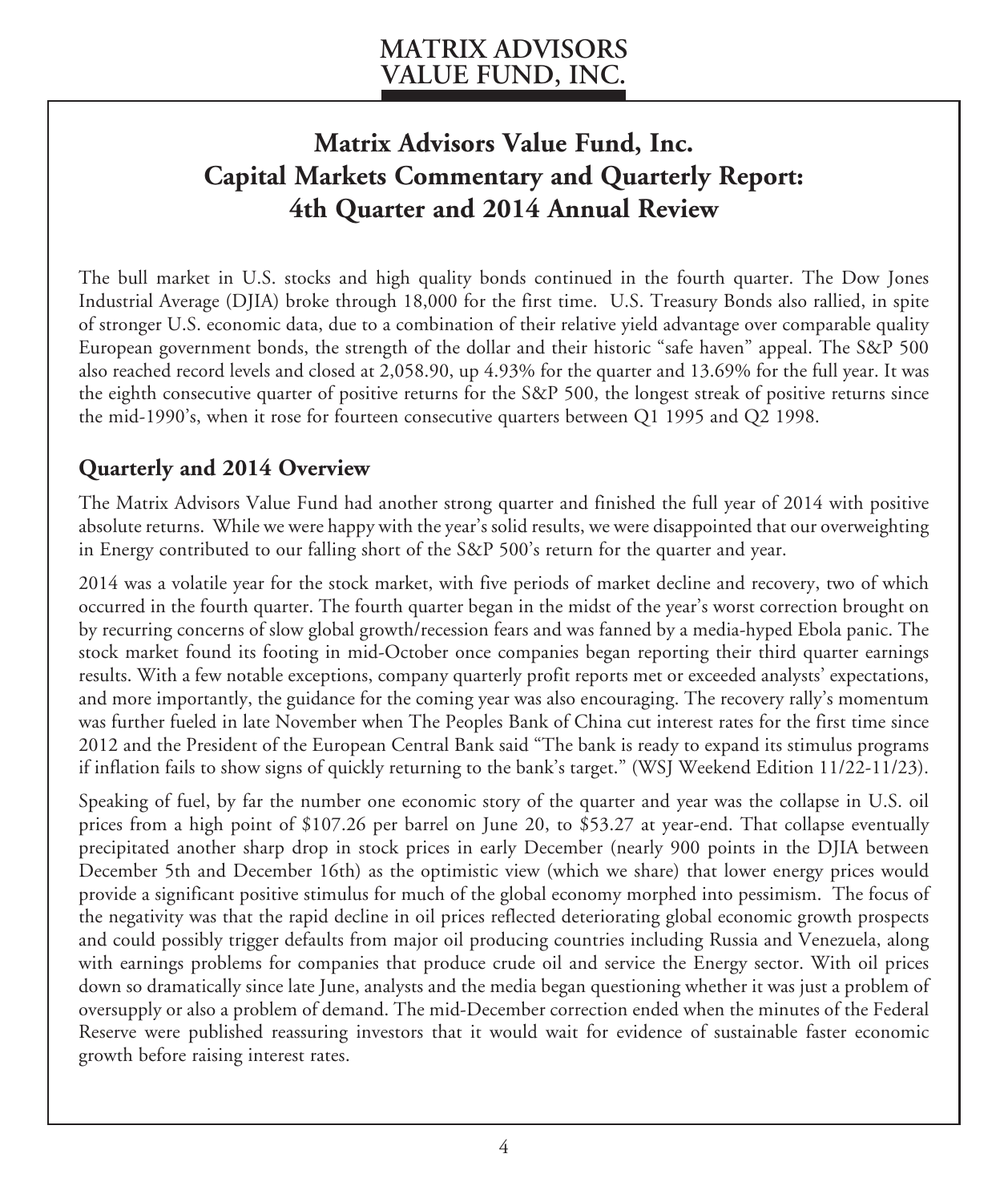# **Matrix Advisors Value Fund, Inc. Capital Markets Commentary and Quarterly Report: 4th Quarter and 2014 Annual Review**

The bull market in U.S. stocks and high quality bonds continued in the fourth quarter. The Dow Jones Industrial Average (DJIA) broke through 18,000 for the first time. U.S. Treasury Bonds also rallied, in spite of stronger U.S. economic data, due to a combination of their relative yield advantage over comparable quality European government bonds, the strength of the dollar and their historic "safe haven" appeal. The S&P 500 also reached record levels and closed at 2,058.90, up 4.93% for the quarter and 13.69% for the full year. It was the eighth consecutive quarter of positive returns for the S&P 500, the longest streak of positive returns since the mid-1990's, when it rose for fourteen consecutive quarters between Q1 1995 and Q2 1998.

### **Quarterly and 2014 Overview**

The Matrix Advisors Value Fund had another strong quarter and finished the full year of 2014 with positive absolute returns. While we were happy with the year's solid results, we were disappointed that our overweighting in Energy contributed to our falling short of the S&P 500's return for the quarter and year.

2014 was a volatile year for the stock market, with five periods of market decline and recovery, two of which occurred in the fourth quarter. The fourth quarter began in the midst of the year's worst correction brought on by recurring concerns of slow global growth/recession fears and was fanned by a media-hyped Ebola panic. The stock market found its footing in mid-October once companies began reporting their third quarter earnings results. With a few notable exceptions, company quarterly profit reports met or exceeded analysts' expectations, and more importantly, the guidance for the coming year was also encouraging. The recovery rally's momentum was further fueled in late November when The Peoples Bank of China cut interest rates for the first time since 2012 and the President of the European Central Bank said "The bank is ready to expand its stimulus programs if inflation fails to show signs of quickly returning to the bank's target." (WSJ Weekend Edition 11/22-11/23).

Speaking of fuel, by far the number one economic story of the quarter and year was the collapse in U.S. oil prices from a high point of \$107.26 per barrel on June 20, to \$53.27 at year-end. That collapse eventually precipitated another sharp drop in stock prices in early December (nearly 900 points in the DJIA between December 5th and December 16th) as the optimistic view (which we share) that lower energy prices would provide a significant positive stimulus for much of the global economy morphed into pessimism. The focus of the negativity was that the rapid decline in oil prices reflected deteriorating global economic growth prospects and could possibly trigger defaults from major oil producing countries including Russia and Venezuela, along with earnings problems for companies that produce crude oil and service the Energy sector. With oil prices down so dramatically since late June, analysts and the media began questioning whether it was just a problem of oversupply or also a problem of demand. The mid-December correction ended when the minutes of the Federal Reserve were published reassuring investors that it would wait for evidence of sustainable faster economic growth before raising interest rates.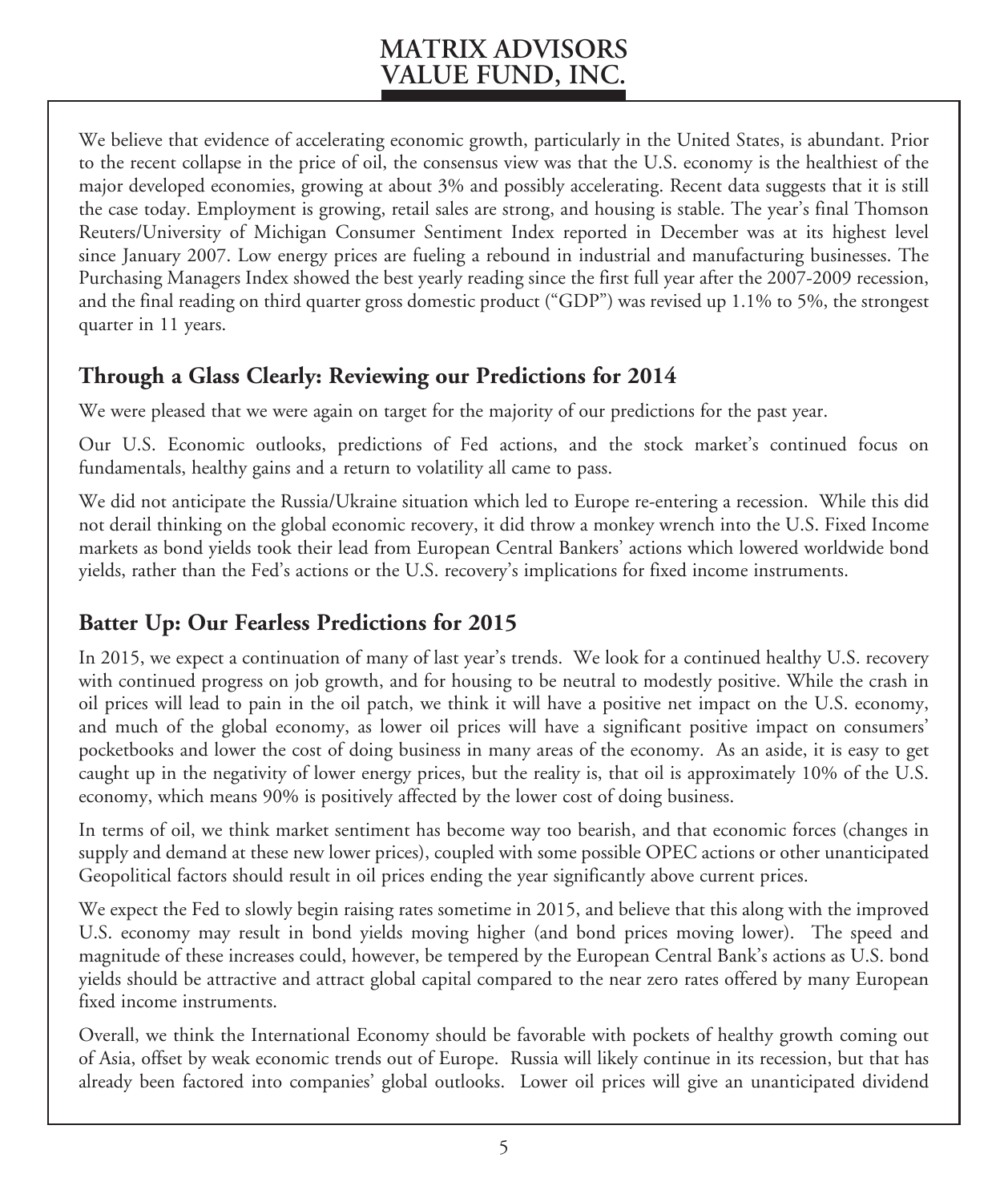We believe that evidence of accelerating economic growth, particularly in the United States, is abundant. Prior to the recent collapse in the price of oil, the consensus view was that the U.S. economy is the healthiest of the major developed economies, growing at about 3% and possibly accelerating. Recent data suggests that it is still the case today. Employment is growing, retail sales are strong, and housing is stable. The year's final Thomson Reuters/University of Michigan Consumer Sentiment Index reported in December was at its highest level since January 2007. Low energy prices are fueling a rebound in industrial and manufacturing businesses. The Purchasing Managers Index showed the best yearly reading since the first full year after the 2007-2009 recession, and the final reading on third quarter gross domestic product ("GDP") was revised up 1.1% to 5%, the strongest quarter in 11 years.

### **Through a Glass Clearly: Reviewing our Predictions for 2014**

We were pleased that we were again on target for the majority of our predictions for the past year.

Our U.S. Economic outlooks, predictions of Fed actions, and the stock market's continued focus on fundamentals, healthy gains and a return to volatility all came to pass.

We did not anticipate the Russia/Ukraine situation which led to Europe re-entering a recession. While this did not derail thinking on the global economic recovery, it did throw a monkey wrench into the U.S. Fixed Income markets as bond yields took their lead from European Central Bankers' actions which lowered worldwide bond yields, rather than the Fed's actions or the U.S. recovery's implications for fixed income instruments.

### **Batter Up: Our Fearless Predictions for 2015**

In 2015, we expect a continuation of many of last year's trends. We look for a continued healthy U.S. recovery with continued progress on job growth, and for housing to be neutral to modestly positive. While the crash in oil prices will lead to pain in the oil patch, we think it will have a positive net impact on the U.S. economy, and much of the global economy, as lower oil prices will have a significant positive impact on consumers' pocketbooks and lower the cost of doing business in many areas of the economy. As an aside, it is easy to get caught up in the negativity of lower energy prices, but the reality is, that oil is approximately 10% of the U.S. economy, which means 90% is positively affected by the lower cost of doing business.

In terms of oil, we think market sentiment has become way too bearish, and that economic forces (changes in supply and demand at these new lower prices), coupled with some possible OPEC actions or other unanticipated Geopolitical factors should result in oil prices ending the year significantly above current prices.

We expect the Fed to slowly begin raising rates sometime in 2015, and believe that this along with the improved U.S. economy may result in bond yields moving higher (and bond prices moving lower). The speed and magnitude of these increases could, however, be tempered by the European Central Bank's actions as U.S. bond yields should be attractive and attract global capital compared to the near zero rates offered by many European fixed income instruments.

Overall, we think the International Economy should be favorable with pockets of healthy growth coming out of Asia, offset by weak economic trends out of Europe. Russia will likely continue in its recession, but that has already been factored into companies' global outlooks. Lower oil prices will give an unanticipated dividend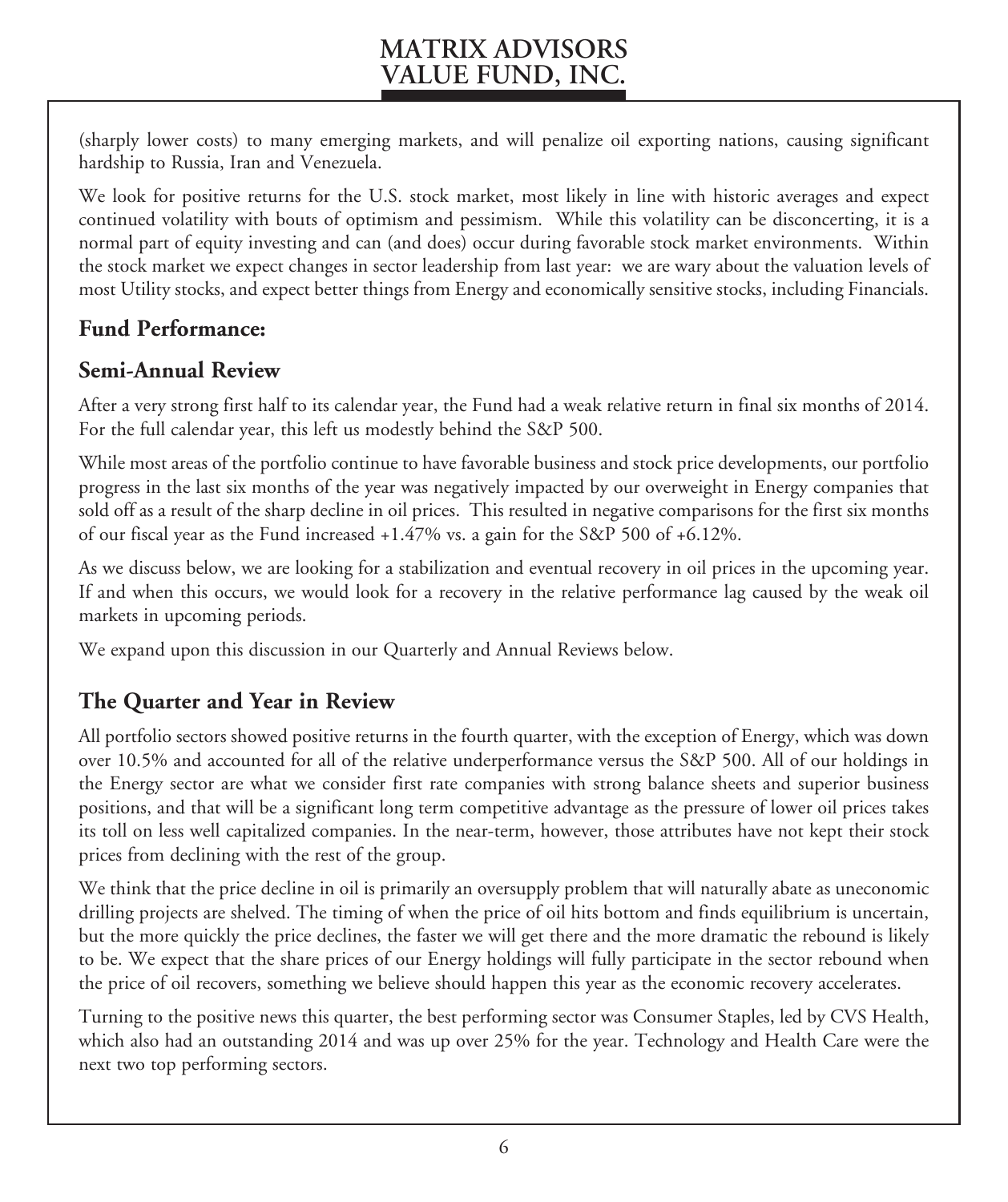(sharply lower costs) to many emerging markets, and will penalize oil exporting nations, causing significant hardship to Russia, Iran and Venezuela.

We look for positive returns for the U.S. stock market, most likely in line with historic averages and expect continued volatility with bouts of optimism and pessimism. While this volatility can be disconcerting, it is a normal part of equity investing and can (and does) occur during favorable stock market environments. Within the stock market we expect changes in sector leadership from last year: we are wary about the valuation levels of most Utility stocks, and expect better things from Energy and economically sensitive stocks, including Financials.

### **Fund Performance:**

### **Semi-Annual Review**

After a very strong first half to its calendar year, the Fund had a weak relative return in final six months of 2014. For the full calendar year, this left us modestly behind the S&P 500.

While most areas of the portfolio continue to have favorable business and stock price developments, our portfolio progress in the last six months of the year was negatively impacted by our overweight in Energy companies that sold off as a result of the sharp decline in oil prices. This resulted in negative comparisons for the first six months of our fiscal year as the Fund increased +1.47% vs. a gain for the S&P 500 of +6.12%.

As we discuss below, we are looking for a stabilization and eventual recovery in oil prices in the upcoming year. If and when this occurs, we would look for a recovery in the relative performance lag caused by the weak oil markets in upcoming periods.

We expand upon this discussion in our Quarterly and Annual Reviews below.

### **The Quarter and Year in Review**

All portfolio sectors showed positive returns in the fourth quarter, with the exception of Energy, which was down over 10.5% and accounted for all of the relative underperformance versus the S&P 500. All of our holdings in the Energy sector are what we consider first rate companies with strong balance sheets and superior business positions, and that will be a significant long term competitive advantage as the pressure of lower oil prices takes its toll on less well capitalized companies. In the near-term, however, those attributes have not kept their stock prices from declining with the rest of the group.

We think that the price decline in oil is primarily an oversupply problem that will naturally abate as uneconomic drilling projects are shelved. The timing of when the price of oil hits bottom and finds equilibrium is uncertain, but the more quickly the price declines, the faster we will get there and the more dramatic the rebound is likely to be. We expect that the share prices of our Energy holdings will fully participate in the sector rebound when the price of oil recovers, something we believe should happen this year as the economic recovery accelerates.

Turning to the positive news this quarter, the best performing sector was Consumer Staples, led by CVS Health, which also had an outstanding 2014 and was up over 25% for the year. Technology and Health Care were the next two top performing sectors.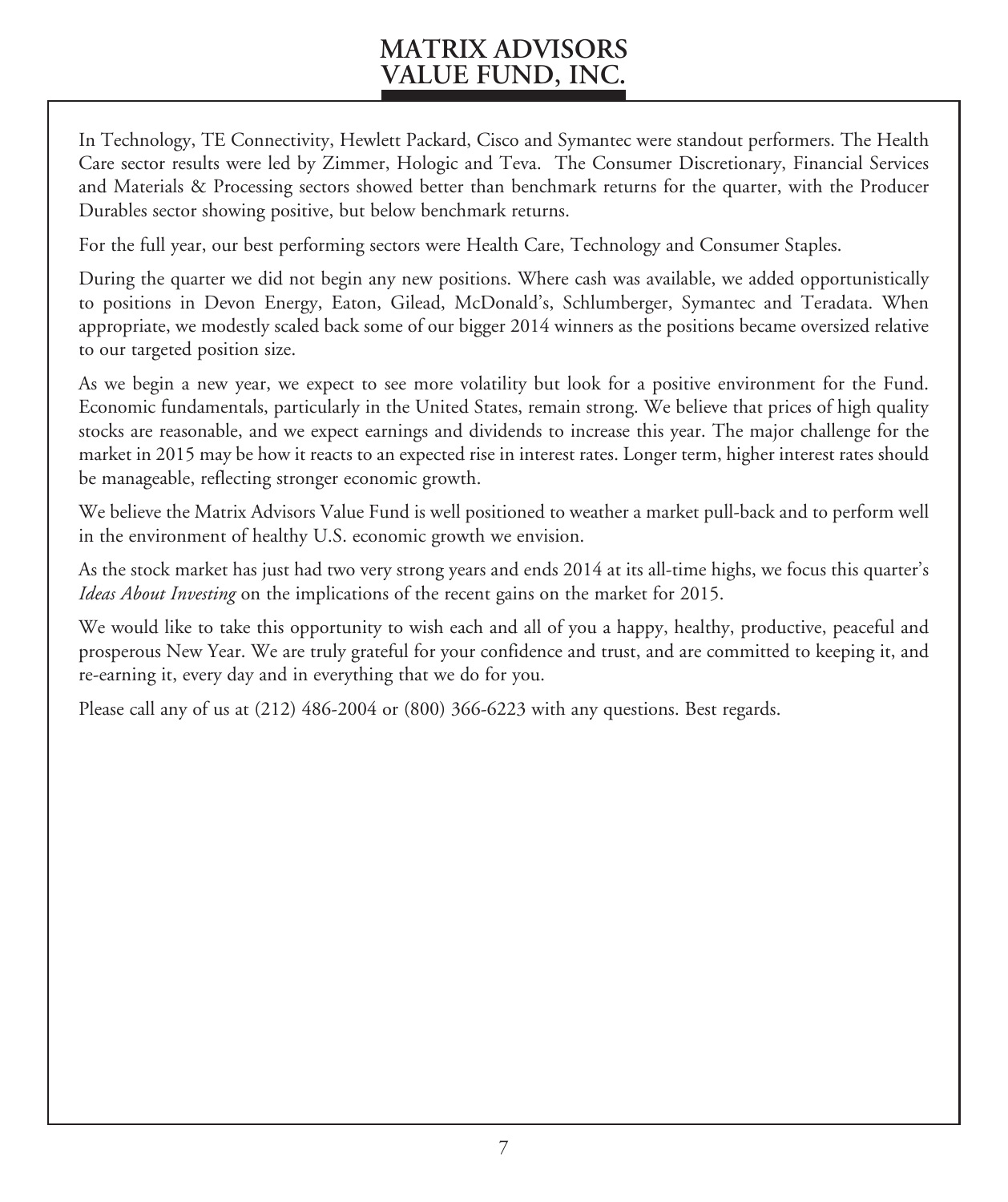In Technology, TE Connectivity, Hewlett Packard, Cisco and Symantec were standout performers. The Health Care sector results were led by Zimmer, Hologic and Teva. The Consumer Discretionary, Financial Services and Materials & Processing sectors showed better than benchmark returns for the quarter, with the Producer Durables sector showing positive, but below benchmark returns.

For the full year, our best performing sectors were Health Care, Technology and Consumer Staples.

During the quarter we did not begin any new positions. Where cash was available, we added opportunistically to positions in Devon Energy, Eaton, Gilead, McDonald's, Schlumberger, Symantec and Teradata. When appropriate, we modestly scaled back some of our bigger 2014 winners as the positions became oversized relative to our targeted position size.

As we begin a new year, we expect to see more volatility but look for a positive environment for the Fund. Economic fundamentals, particularly in the United States, remain strong. We believe that prices of high quality stocks are reasonable, and we expect earnings and dividends to increase this year. The major challenge for the market in 2015 may be how it reacts to an expected rise in interest rates. Longer term, higher interest rates should be manageable, reflecting stronger economic growth.

We believe the Matrix Advisors Value Fund is well positioned to weather a market pull-back and to perform well in the environment of healthy U.S. economic growth we envision.

As the stock market has just had two very strong years and ends 2014 at its all-time highs, we focus this quarter's *Ideas About Investing* on the implications of the recent gains on the market for 2015.

We would like to take this opportunity to wish each and all of you a happy, healthy, productive, peaceful and prosperous New Year. We are truly grateful for your confidence and trust, and are committed to keeping it, and re-earning it, every day and in everything that we do for you.

Please call any of us at (212) 486-2004 or (800) 366-6223 with any questions. Best regards.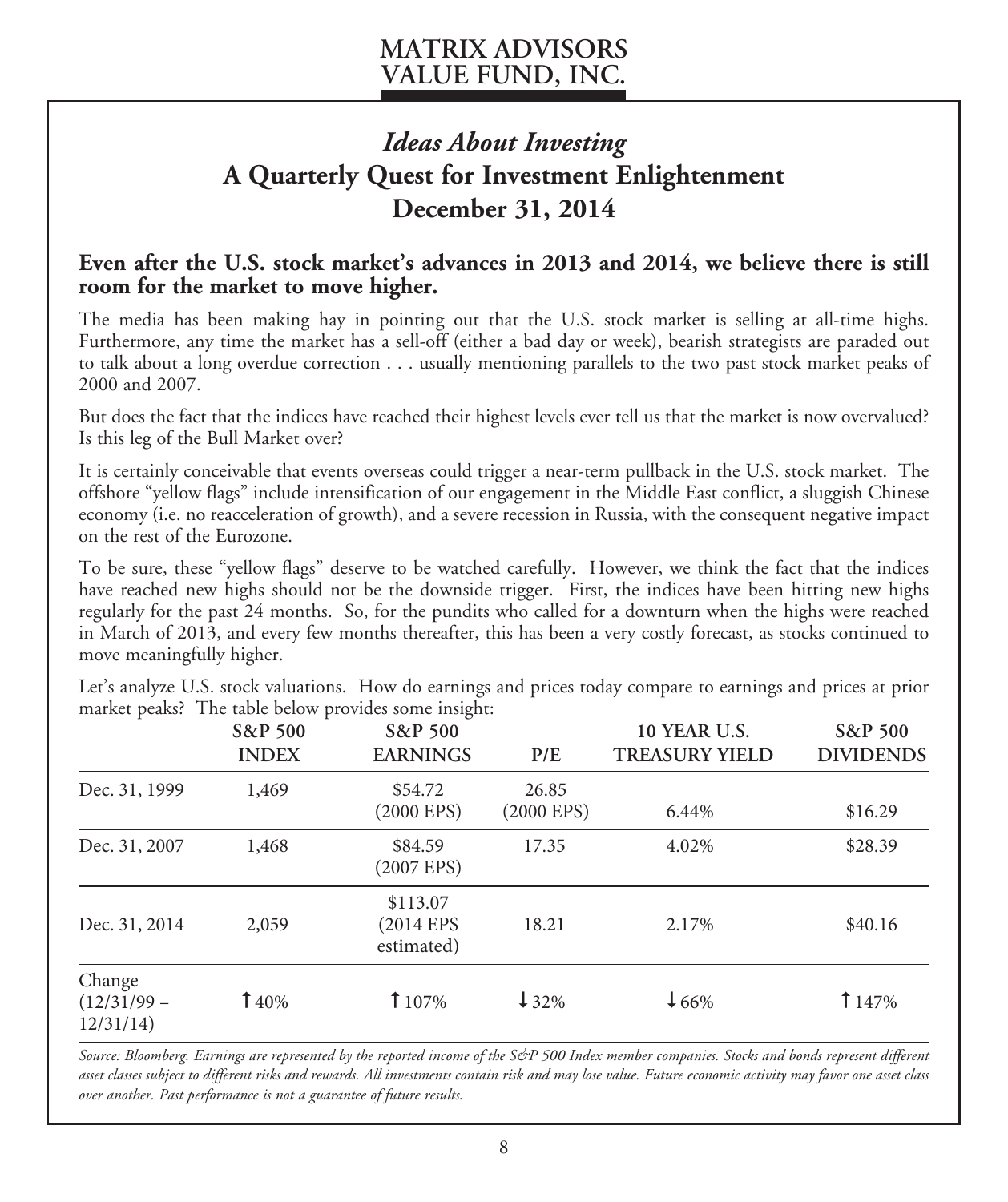# *Ideas About Investing* **A Quarterly Quest for Investment Enlightenment December 31, 2014**

### **Even after the U.S. stock market's advances in 2013 and 2014, we believe there is still room for the market to move higher.**

The media has been making hay in pointing out that the U.S. stock market is selling at all-time highs. Furthermore, any time the market has a sell-off (either a bad day or week), bearish strategists are paraded out to talk about a long overdue correction . . . usually mentioning parallels to the two past stock market peaks of 2000 and 2007.

But does the fact that the indices have reached their highest levels ever tell us that the market is now overvalued? Is this leg of the Bull Market over?

It is certainly conceivable that events overseas could trigger a near-term pullback in the U.S. stock market. The offshore "yellow flags" include intensification of our engagement in the Middle East conflict, a sluggish Chinese economy (i.e. no reacceleration of growth), and a severe recession in Russia, with the consequent negative impact on the rest of the Eurozone.

To be sure, these "yellow flags" deserve to be watched carefully. However, we think the fact that the indices have reached new highs should not be the downside trigger. First, the indices have been hitting new highs regularly for the past 24 months. So, for the pundits who called for a downturn when the highs were reached in March of 2013, and every few months thereafter, this has been a very costly forecast, as stocks continued to move meaningfully higher.

|                                     | S&P 500<br><b>INDEX</b> | S&P 500<br><b>EARNINGS</b>          | P/E                      | <b>10 YEAR U.S.</b><br><b>TREASURY YIELD</b> | S&P 500<br><b>DIVIDENDS</b> |
|-------------------------------------|-------------------------|-------------------------------------|--------------------------|----------------------------------------------|-----------------------------|
| Dec. 31, 1999                       | 1,469                   | \$54.72<br>(2000 EPS)               | 26.85<br>$(2000$ EPS $)$ | 6.44%                                        | \$16.29                     |
| Dec. 31, 2007                       | 1,468                   | \$84.59<br>$(2007$ EPS)             | 17.35                    | 4.02%                                        | \$28.39                     |
| Dec. 31, 2014                       | 2,059                   | \$113.07<br>(2014 EPS<br>estimated) | 18.21                    | 2.17%                                        | \$40.16                     |
| Change<br>$(12/31/99 -$<br>12/31/14 | 140%                    | 107%                                | $132\%$                  | $\downarrow$ 66%                             | 147%                        |

Let's analyze U.S. stock valuations. How do earnings and prices today compare to earnings and prices at prior market peaks? The table below provides some insight:

*Source: Bloomberg. Earnings are represented by the reported income of the S&P 500 Index member companies. Stocks and bonds represent different asset classes subject to different risks and rewards. All investments contain risk and may lose value. Future economic activity may favor one asset class over another. Past performance is not a guarantee of future results.*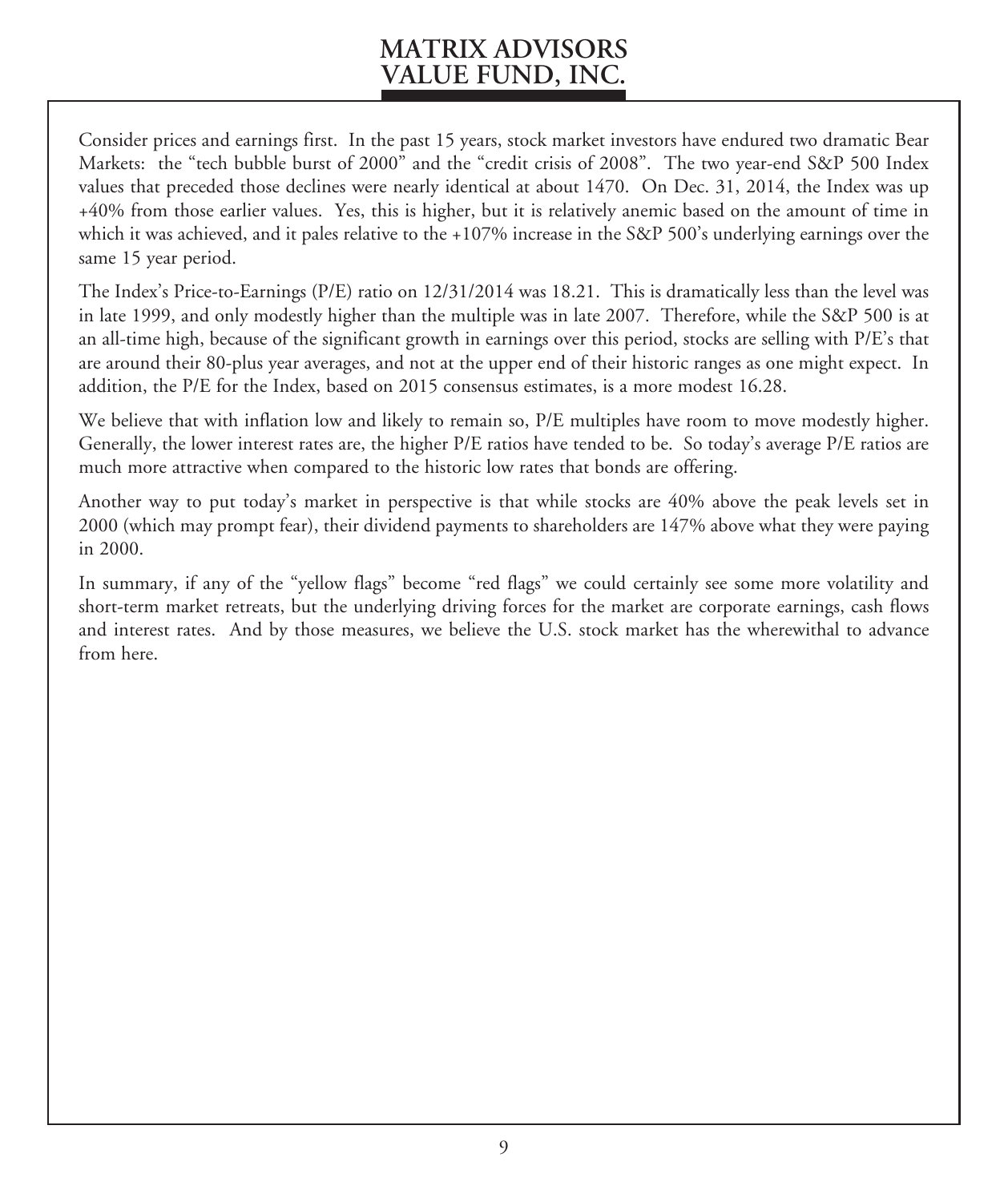Consider prices and earnings first. In the past 15 years, stock market investors have endured two dramatic Bear Markets: the "tech bubble burst of 2000" and the "credit crisis of 2008". The two year-end S&P 500 Index values that preceded those declines were nearly identical at about 1470. On Dec. 31, 2014, the Index was up +40% from those earlier values. Yes, this is higher, but it is relatively anemic based on the amount of time in which it was achieved, and it pales relative to the +107% increase in the S&P 500's underlying earnings over the same 15 year period.

The Index's Price-to-Earnings (P/E) ratio on 12/31/2014 was 18.21. This is dramatically less than the level was in late 1999, and only modestly higher than the multiple was in late 2007. Therefore, while the S&P 500 is at an all-time high, because of the significant growth in earnings over this period, stocks are selling with P/E's that are around their 80-plus year averages, and not at the upper end of their historic ranges as one might expect. In addition, the P/E for the Index, based on 2015 consensus estimates, is a more modest 16.28.

We believe that with inflation low and likely to remain so,  $P/E$  multiples have room to move modestly higher. Generally, the lower interest rates are, the higher P/E ratios have tended to be. So today's average P/E ratios are much more attractive when compared to the historic low rates that bonds are offering.

Another way to put today's market in perspective is that while stocks are 40% above the peak levels set in 2000 (which may prompt fear), their dividend payments to shareholders are 147% above what they were paying in 2000.

In summary, if any of the "yellow flags" become "red flags" we could certainly see some more volatility and short-term market retreats, but the underlying driving forces for the market are corporate earnings, cash flows and interest rates. And by those measures, we believe the U.S. stock market has the wherewithal to advance from here.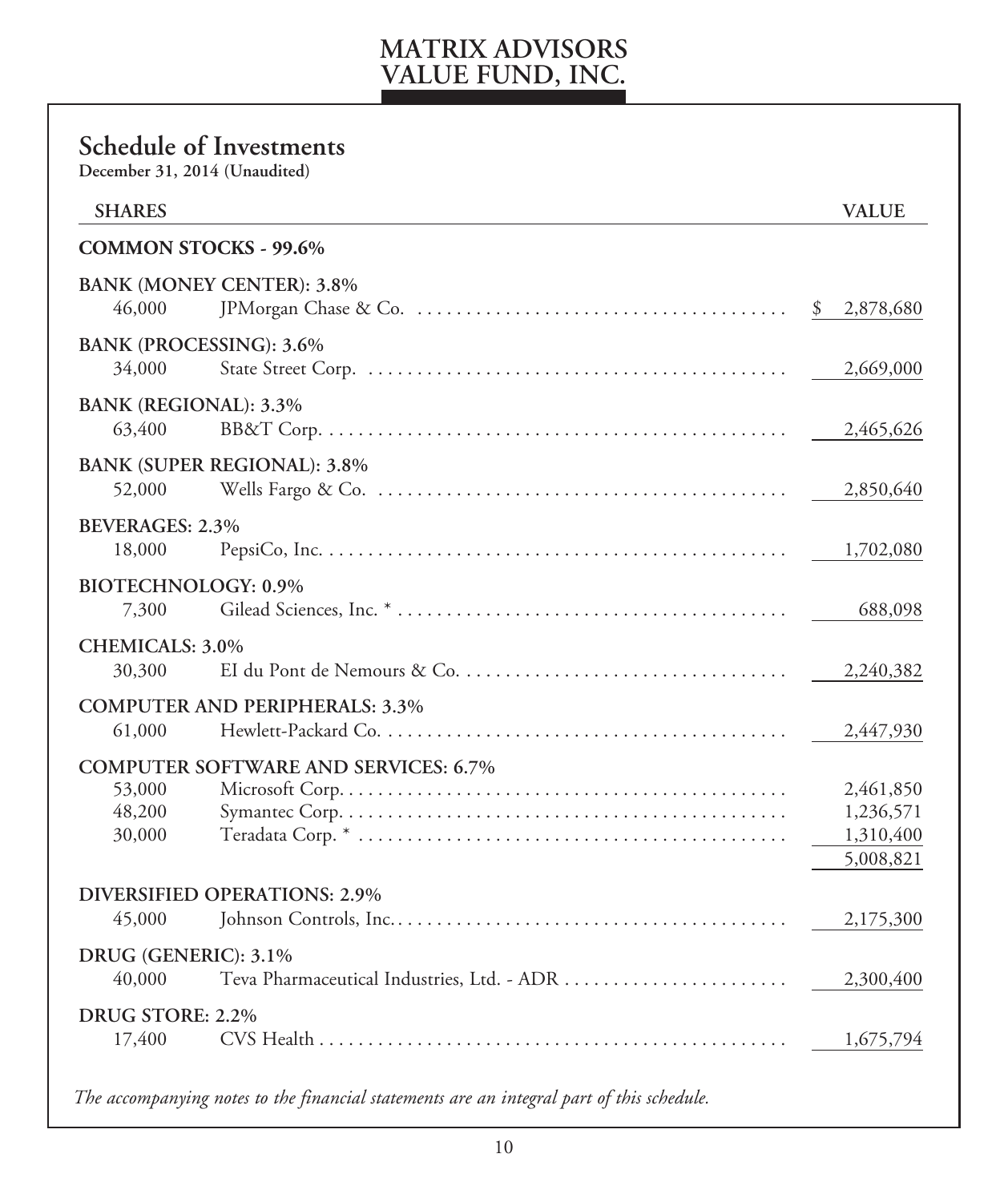### **Schedule of Investments December 31, 2014 (Unaudited) SHARES VALUE COMMON STOCKS - 99.6% BANK (MONEY CENTER): 3.8%** 46,000 JPMorgan Chase & Co. . \$ 2,878,680 **BANK (PROCESSING): 3.6%** 34,000 State Street Corp. . 2,669,000 **BANK (REGIONAL): 3.3%** 63,400 BB&T Corp. . 2,465,626 **BANK (SUPER REGIONAL): 3.8%** 52,000 Wells Fargo & Co. . 2,850,640 **BEVERAGES: 2.3%** 18,000 PepsiCo, Inc. . 1,702,080 **BIOTECHNOLOGY: 0.9%** 7,300 Gilead Sciences, Inc. \* . 688,098 **CHEMICALS: 3.0%** 30,300 EI du Pont de Nemours & Co. . 2,240,382 **COMPUTER AND PERIPHERALS: 3.3%** 61,000 Hewlett-Packard Co. . 2,447,930 **COMPUTER SOFTWARE AND SERVICES: 6.7%** 53,000 Microsoft Corp. . 2,461,850 48,200 Symantec Corp. . 1,236,571 30,000 Teradata Corp. \* . 1,310,400 5,008,821 **DIVERSIFIED OPERATIONS: 2.9%** 45,000 Johnson Controls, Inc. . 2,175,300 **DRUG (GENERIC): 3.1%** 40,000 Teva Pharmaceutical Industries, Ltd. - ADR . 2,300,400 **DRUG STORE: 2.2%** 17,400 CVS Health . 1,675,794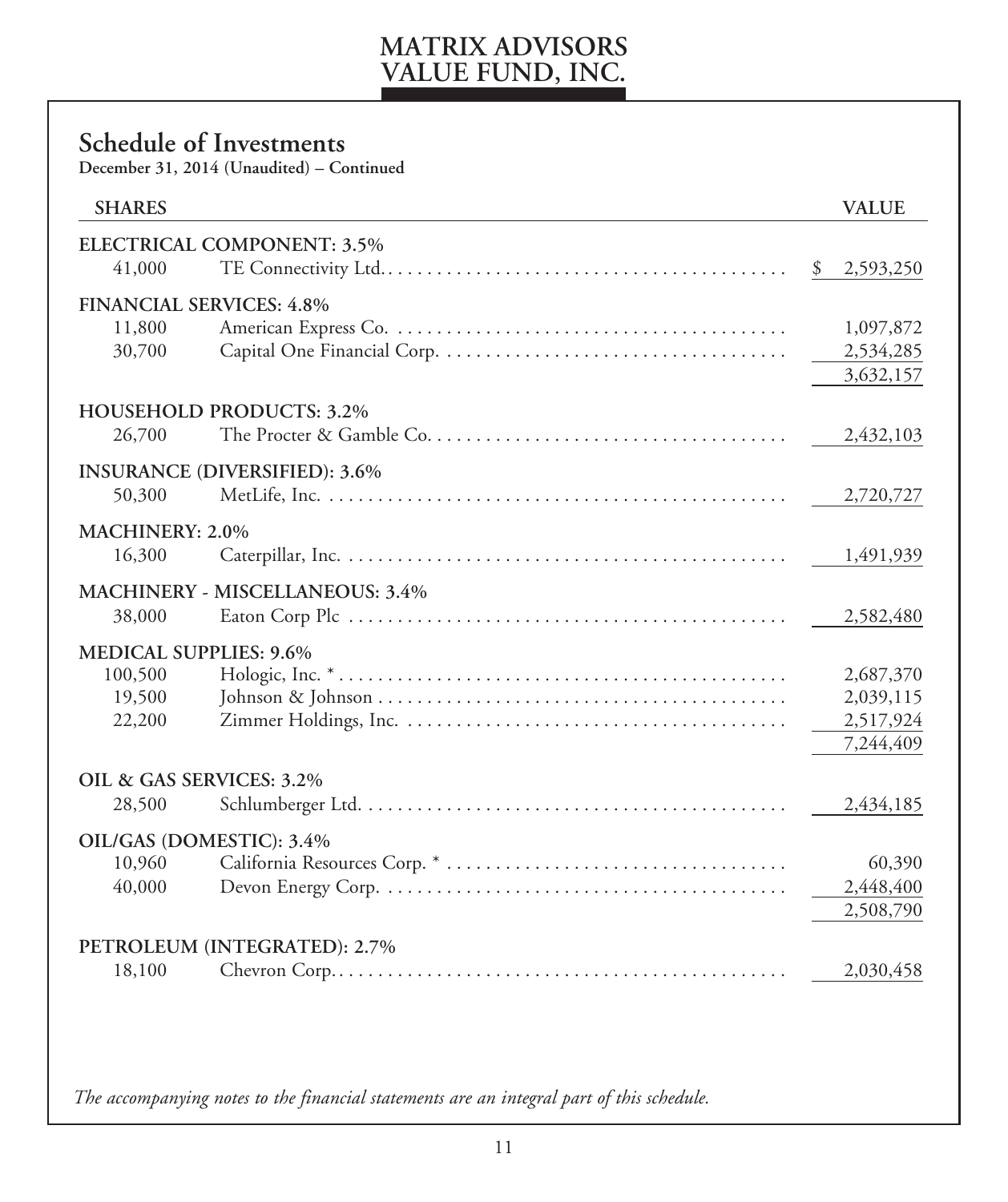## **Schedule of Investments**

**December 31, 2014 (Unaudited) – Continued**

| <b>SHARES</b>                      |                                        | <b>VALUE</b>           |
|------------------------------------|----------------------------------------|------------------------|
|                                    | ELECTRICAL COMPONENT: 3.5%             |                        |
| 41,000                             |                                        | \$<br>2,593,250        |
| <b>FINANCIAL SERVICES: 4.8%</b>    |                                        |                        |
| 11,800                             |                                        | 1,097,872              |
| 30,700                             |                                        | 2,534,285              |
|                                    |                                        | 3,632,157              |
|                                    | <b>HOUSEHOLD PRODUCTS: 3.2%</b>        |                        |
| 26,700                             |                                        | 2,432,103              |
|                                    | <b>INSURANCE (DIVERSIFIED): 3.6%</b>   |                        |
| 50,300                             |                                        | 2,720,727              |
| MACHINERY: 2.0%                    |                                        |                        |
| 16,300                             |                                        | 1,491,939              |
|                                    |                                        |                        |
| 38,000                             | <b>MACHINERY - MISCELLANEOUS: 3.4%</b> |                        |
|                                    |                                        | 2,582,480              |
| <b>MEDICAL SUPPLIES: 9.6%</b>      |                                        |                        |
| 100,500<br>19,500                  |                                        | 2,687,370<br>2,039,115 |
| 22,200                             |                                        | 2,517,924              |
|                                    |                                        | 7,244,409              |
|                                    |                                        |                        |
| OIL & GAS SERVICES: 3.2%<br>28,500 |                                        | 2,434,185              |
|                                    |                                        |                        |
| OIL/GAS (DOMESTIC): 3.4%           |                                        |                        |
| 10,960<br>40,000                   |                                        | 60,390<br>2,448,400    |
|                                    |                                        | 2,508,790              |
|                                    |                                        |                        |
|                                    | PETROLEUM (INTEGRATED): 2.7%           |                        |
| 18,100                             |                                        | 2,030,458              |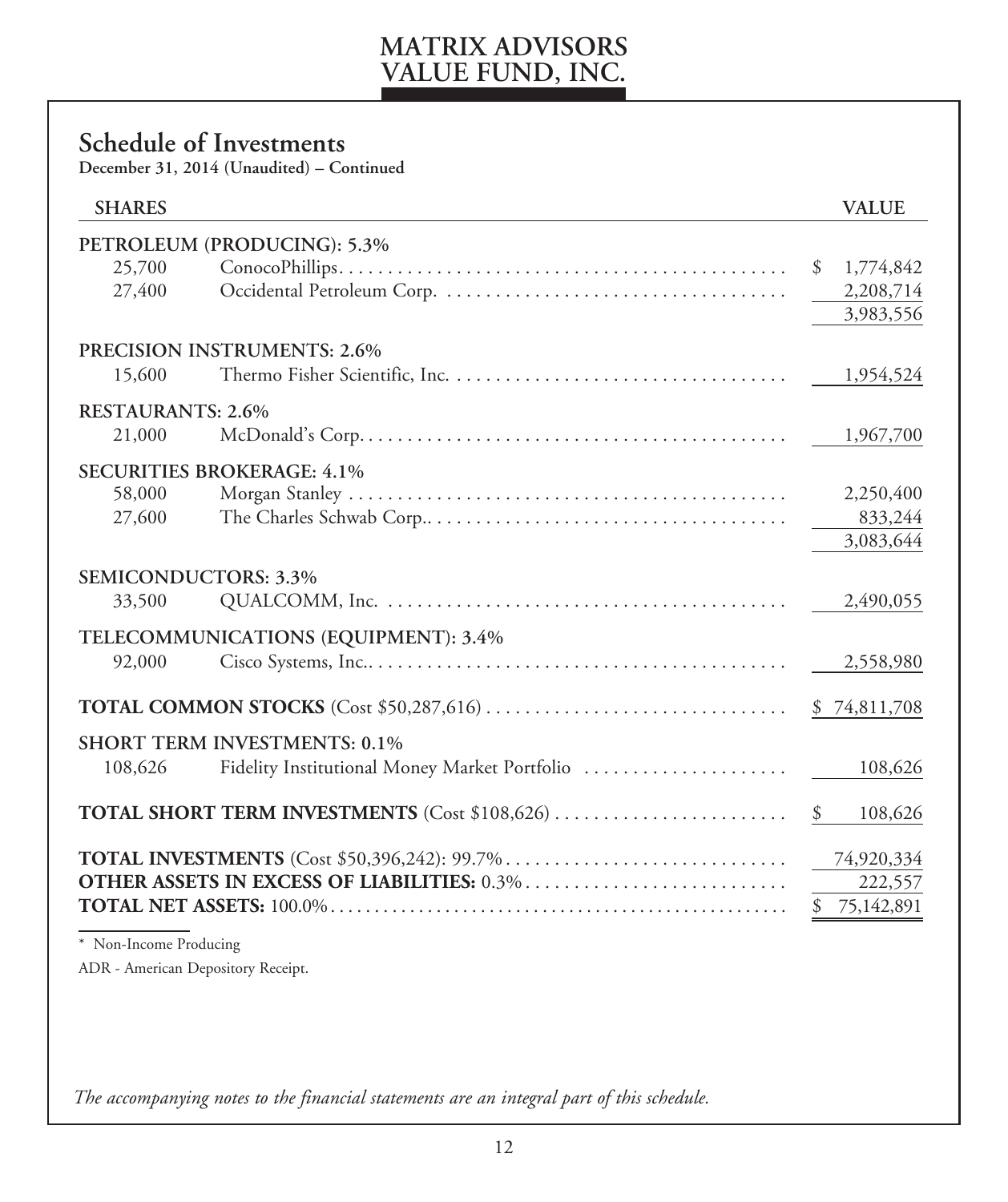### **Schedule of Investments**

**December 31, 2014 (Unaudited) – Continued**

| <b>SHARES</b>            |                                                      | <b>VALUE</b>     |
|--------------------------|------------------------------------------------------|------------------|
|                          | PETROLEUM (PRODUCING): 5.3%                          |                  |
| 25,700                   |                                                      | 1,774,842<br>\$  |
| 27,400                   |                                                      | 2,208,714        |
|                          |                                                      | 3,983,556        |
|                          | <b>PRECISION INSTRUMENTS: 2.6%</b>                   |                  |
| 15,600                   |                                                      | 1,954,524        |
| <b>RESTAURANTS: 2.6%</b> |                                                      |                  |
| 21,000                   |                                                      | 1,967,700        |
|                          | <b>SECURITIES BROKERAGE: 4.1%</b>                    |                  |
| 58,000                   |                                                      | 2,250,400        |
| 27,600                   |                                                      | 833,244          |
|                          |                                                      | 3,083,644        |
|                          | <b>SEMICONDUCTORS: 3.3%</b>                          |                  |
| 33,500                   |                                                      | 2,490,055        |
|                          | TELECOMMUNICATIONS (EQUIPMENT): 3.4%                 |                  |
| 92,000                   |                                                      | 2,558,980        |
|                          |                                                      | \$74,811,708     |
|                          | <b>SHORT TERM INVESTMENTS: 0.1%</b>                  |                  |
| 108,626                  |                                                      | 108,626          |
|                          | <b>TOTAL SHORT TERM INVESTMENTS</b> (Cost \$108,626) | \$<br>108,626    |
|                          |                                                      | 74,920,334       |
|                          |                                                      | 222,557          |
|                          |                                                      | \$<br>75,142,891 |
| * Non-Income Producing   |                                                      |                  |

ADR - American Depository Receipt.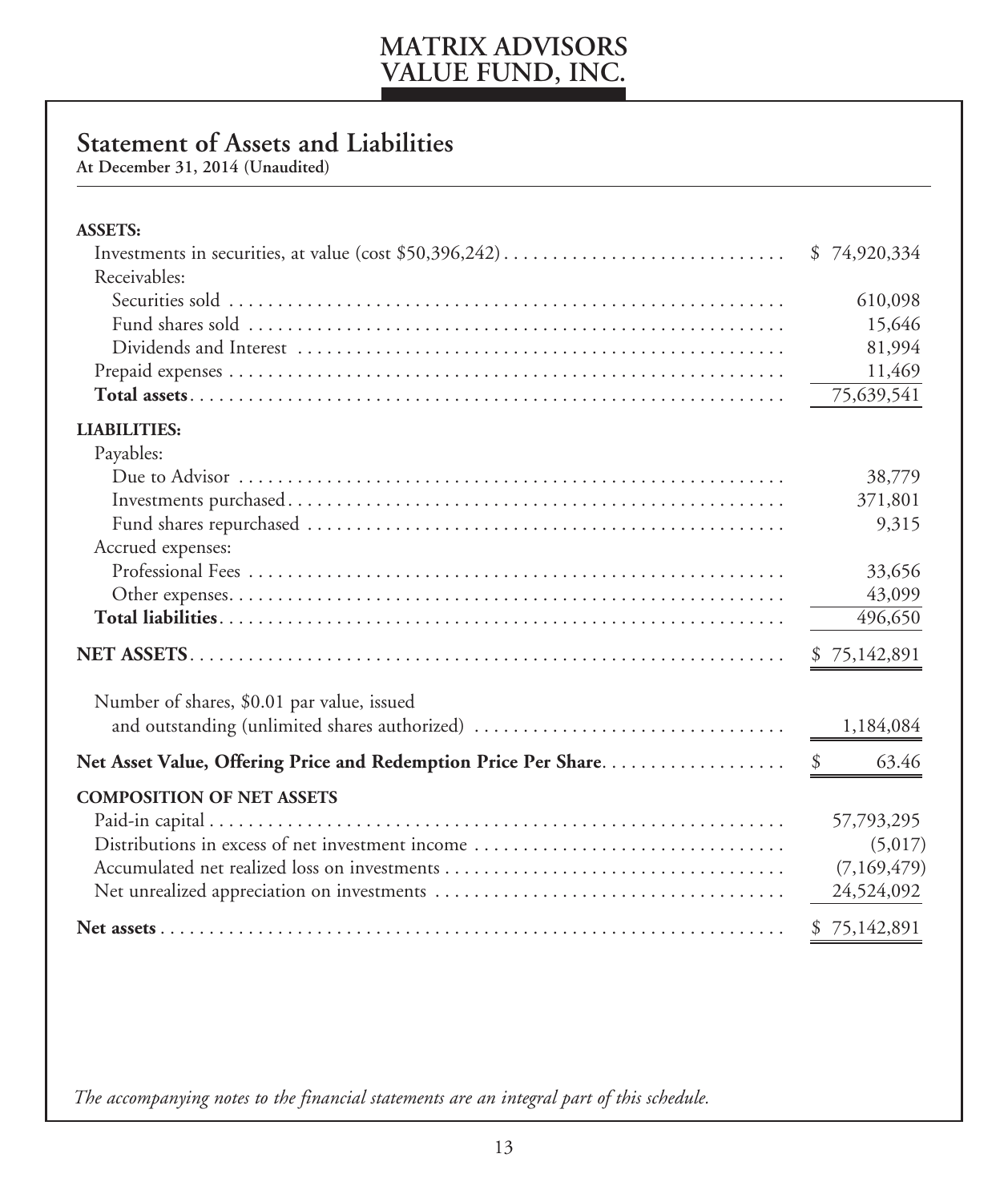### **Statement of Assets and Liabilities**

**At December 31, 2014 (Unaudited)**

İ

| <b>ASSETS:</b>                                                 |              |
|----------------------------------------------------------------|--------------|
|                                                                | \$74,920,334 |
| Receivables:                                                   |              |
|                                                                | 610,098      |
|                                                                | 15,646       |
|                                                                | 81,994       |
|                                                                | 11,469       |
|                                                                | 75,639,541   |
| <b>LIABILITIES:</b>                                            |              |
| Payables:                                                      |              |
|                                                                | 38,779       |
|                                                                | 371,801      |
|                                                                | 9,315        |
| Accrued expenses:                                              |              |
|                                                                | 33,656       |
|                                                                | 43,099       |
|                                                                | 496,650      |
|                                                                | \$75,142,891 |
| Number of shares, \$0.01 par value, issued                     |              |
| and outstanding (unlimited shares authorized)                  | 1,184,084    |
| Net Asset Value, Offering Price and Redemption Price Per Share | 63.46        |
| <b>COMPOSITION OF NET ASSETS</b>                               |              |
|                                                                | 57,793,295   |
| Distributions in excess of net investment income               | (5,017)      |
|                                                                | (7,169,479)  |
|                                                                | 24,524,092   |
|                                                                | \$75,142,891 |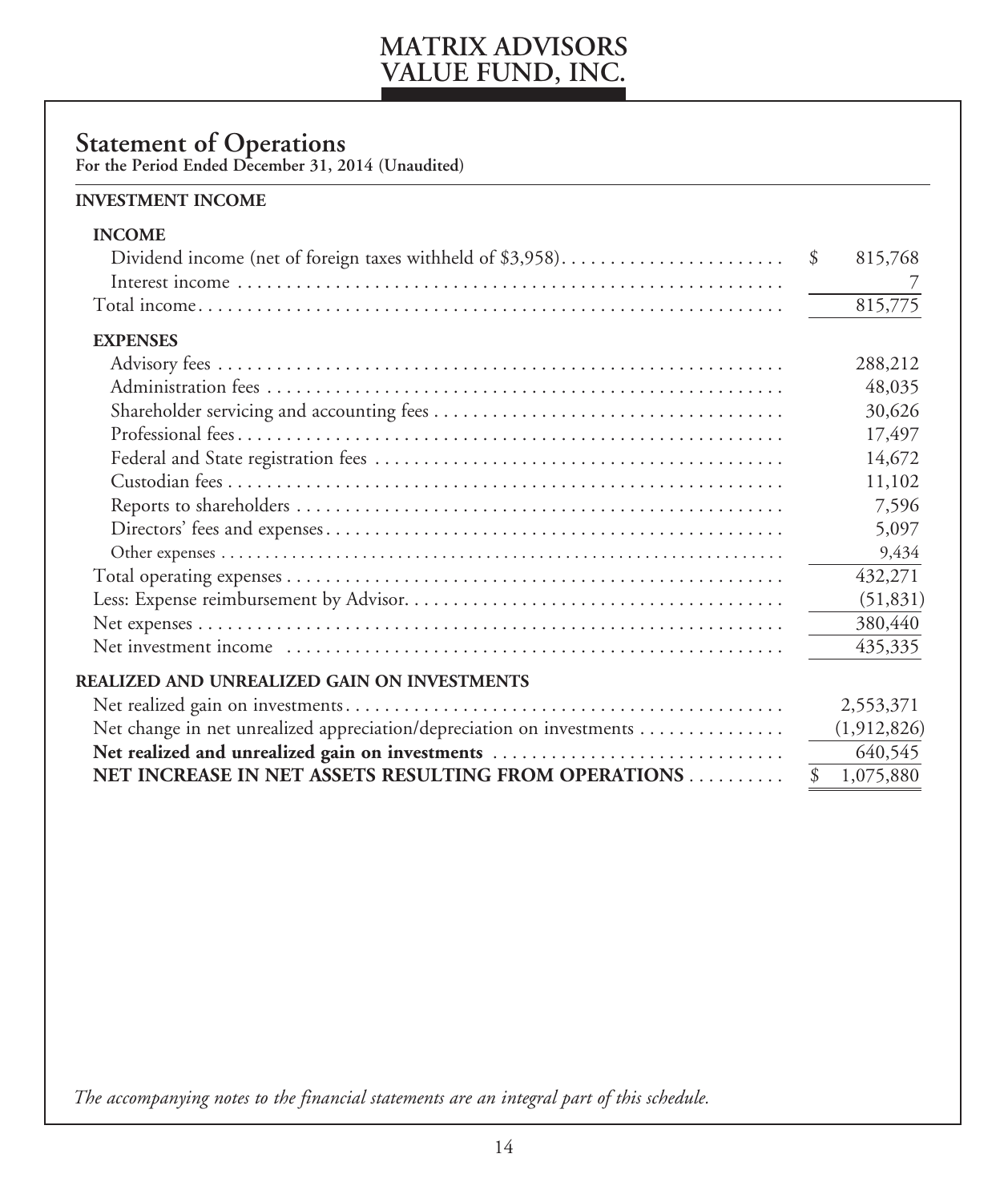### **Statement of Operations**

**For the Period Ended December 31, 2014 (Unaudited)** 

#### **INVESTMENT INCOME**

| <b>INCOME</b>                                                         |               |             |
|-----------------------------------------------------------------------|---------------|-------------|
| Dividend income (net of foreign taxes withheld of \$3,958)            | <sup>\$</sup> | 815,768     |
|                                                                       |               |             |
|                                                                       |               | 815,775     |
| <b>EXPENSES</b>                                                       |               |             |
|                                                                       |               | 288,212     |
|                                                                       |               | 48,035      |
|                                                                       |               | 30,626      |
|                                                                       |               | 17,497      |
|                                                                       |               | 14,672      |
|                                                                       |               | 11,102      |
|                                                                       |               | 7,596       |
|                                                                       |               | 5,097       |
|                                                                       |               | 9,434       |
|                                                                       |               | 432,271     |
|                                                                       |               | (51, 831)   |
|                                                                       |               | 380,440     |
|                                                                       |               | 435,335     |
| REALIZED AND UNREALIZED GAIN ON INVESTMENTS                           |               |             |
|                                                                       |               | 2,553,371   |
| Net change in net unrealized appreciation/depreciation on investments |               | (1,912,826) |
| Net realized and unrealized gain on investments                       |               | 640,545     |
| NET INCREASE IN NET ASSETS RESULTING FROM OPERATIONS                  | \$            | 1,075,880   |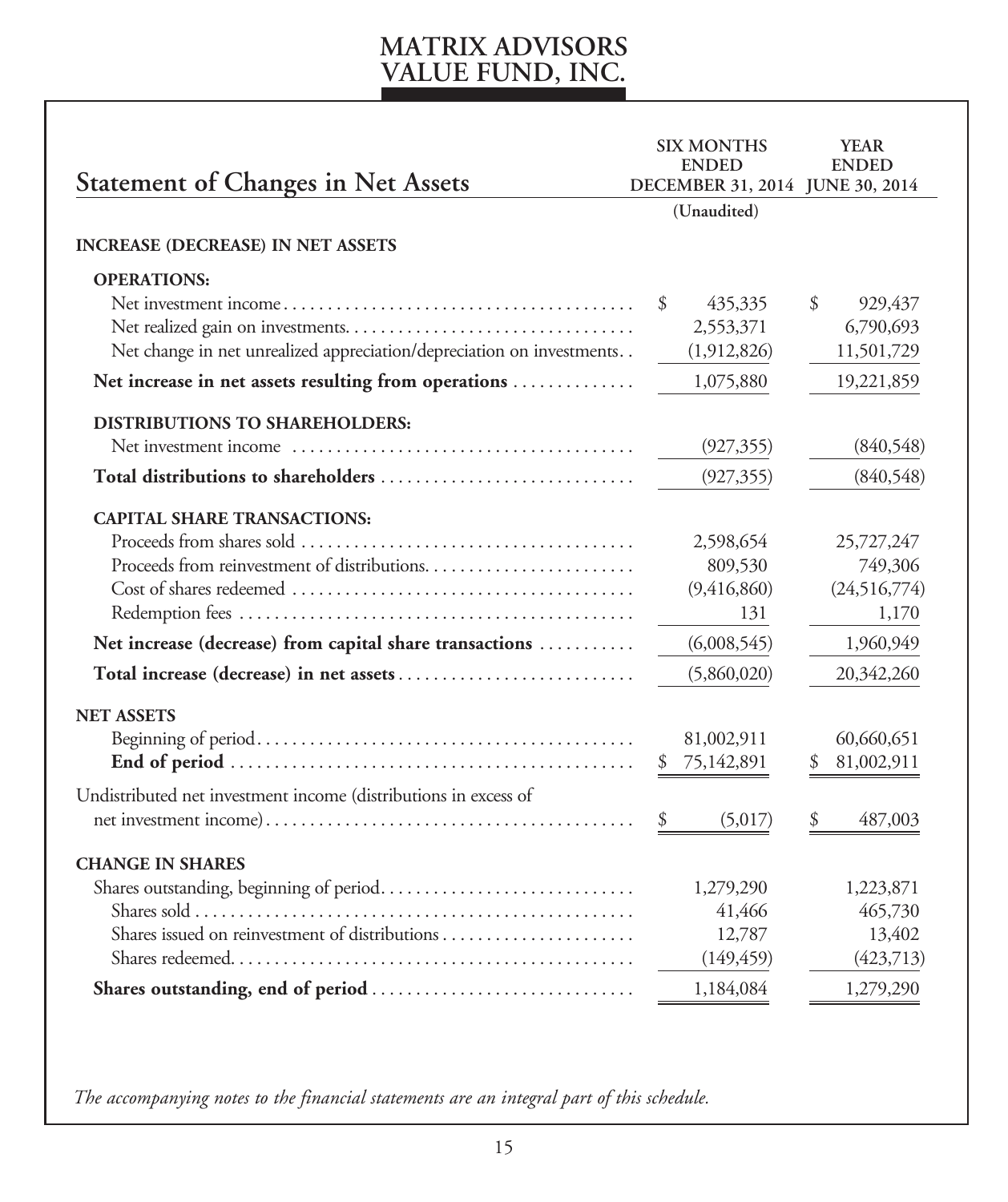|                                                                       | <b>ENDED</b><br>(Unaudited)                              | <b>ENDED</b>                                             |
|-----------------------------------------------------------------------|----------------------------------------------------------|----------------------------------------------------------|
|                                                                       |                                                          |                                                          |
| Net change in net unrealized appreciation/depreciation on investments | 435,335<br>2,553,371<br>(1,912,826)                      | \$<br>929,437<br>6,790,693<br>11,501,729                 |
|                                                                       |                                                          | 19,221,859                                               |
|                                                                       | (927, 355)<br>(927, 355)                                 | (840,548)<br>(840,548)                                   |
|                                                                       | 2,598,654<br>809,530<br>(9,416,860)<br>131               | 25,727,247<br>749,306<br>(24,516,774)<br>1,170           |
| Net increase (decrease) from capital share transactions               | (6,008,545)                                              | 1,960,949                                                |
|                                                                       | (5,860,020)                                              | 20,342,260                                               |
|                                                                       | 81,002,911<br>75,142,891<br>(5,017)                      | 60,660,651<br>81,002,911<br>\$<br>487,003                |
|                                                                       | 1,279,290<br>41,466<br>12,787<br>(149, 459)<br>1,184,084 | 1,223,871<br>465,730<br>13,402<br>(423,713)<br>1,279,290 |
|                                                                       | Net increase in net assets resulting from operations     | DECEMBER 31, 2014 JUNE 30, 2014<br>\$<br>1,075,880       |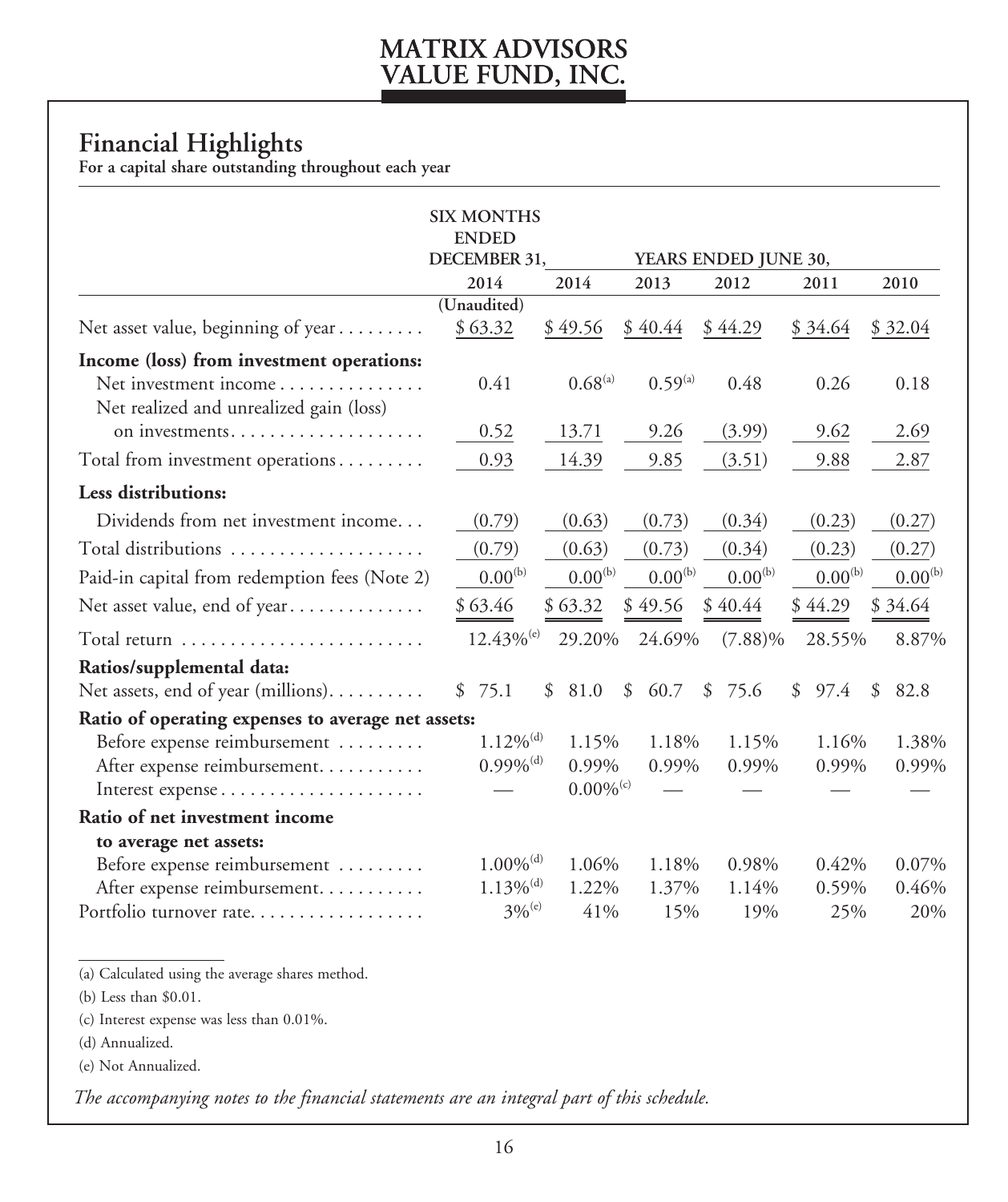### **Financial Highlights**

**For a capital share outstanding throughout each year**

|                                                                  | <b>SIX MONTHS</b><br><b>ENDED</b> |                         |              |                      |              |              |
|------------------------------------------------------------------|-----------------------------------|-------------------------|--------------|----------------------|--------------|--------------|
|                                                                  | DECEMBER 31,                      |                         |              | YEARS ENDED JUNE 30, |              |              |
|                                                                  | 2014<br>(Unaudited)               | 2014                    | 2013         | 2012                 | 2011         | 2010         |
| Net asset value, beginning of year                               | \$63.32                           | \$49.56                 | \$40.44      | \$44.29              | \$34.64      | \$32.04      |
| Income (loss) from investment operations:                        |                                   |                         |              |                      |              |              |
| Net investment income<br>Net realized and unrealized gain (loss) | 0.41                              | $0.68^{(a)}$            | $0.59^{(a)}$ | 0.48                 | 0.26         | 0.18         |
| on investments                                                   | 0.52                              | 13.71                   | 9.26         | (3.99)               | 9.62         | 2.69         |
| Total from investment operations                                 | 0.93                              | 14.39                   | 9.85         | (3.51)               | 9.88         | 2.87         |
| Less distributions:                                              |                                   |                         |              |                      |              |              |
| Dividends from net investment income                             | (0.79)                            | (0.63)                  | (0.73)       | (0.34)               | (0.23)       | (0.27)       |
| Total distributions                                              | (0.79)                            | (0.63)                  | (0.73)       | (0.34)               | (0.23)       | (0.27)       |
| Paid-in capital from redemption fees (Note 2)                    | $0.00^{(b)}$                      | $0.00^{(b)}$            | $0.00^{(b)}$ | $0.00^{(b)}$         | $0.00^{(b)}$ | $0.00^{(b)}$ |
| Net asset value, end of year                                     | \$63.46                           | \$63.32                 | \$49.56      | \$40.44              | \$44.29      | \$34.64      |
|                                                                  | $12.43\%$ <sup>(e)</sup>          | 29.20%                  | 24.69%       | $(7.88)\%$           | 28.55%       | 8.87%        |
| Ratios/supplemental data:                                        |                                   |                         |              |                      |              |              |
| Net assets, end of year (millions)                               | 75.1<br>\$                        | \$<br>81.0              | \$<br>60.7   | \$<br>75.6           | \$<br>97.4   | \$<br>82.8   |
| Ratio of operating expenses to average net assets:               |                                   |                         |              |                      |              |              |
| Before expense reimbursement                                     | $1.12\%$ <sup>(d)</sup>           | 1.15%                   | 1.18%        | 1.15%                | 1.16%        | 1.38%        |
| After expense reimbursement                                      | $0.99\%$ <sup>(d)</sup>           | 0.99%                   | 0.99%        | 0.99%                | 0.99%        | 0.99%        |
|                                                                  |                                   | $0.00\%$ <sup>(c)</sup> |              |                      |              |              |
| Ratio of net investment income                                   |                                   |                         |              |                      |              |              |
| to average net assets:                                           |                                   |                         |              |                      |              |              |
| Before expense reimbursement                                     | $1.00\%$ <sup>(d)</sup>           | 1.06%                   | 1.18%        | 0.98%                | 0.42%        | 0.07%        |
| After expense reimbursement                                      | $1.13\%$ <sup>(d)</sup>           | 1.22%                   | 1.37%        | 1.14%                | 0.59%        | 0.46%        |
| Portfolio turnover rate                                          | $3%^{(e)}$                        | 41%                     | 15%          | 19%                  | 25%          | 20%          |

(a) Calculated using the average shares method.

(b) Less than \$0.01.

(c) Interest expense was less than 0.01%.

(d) Annualized.

(e) Not Annualized.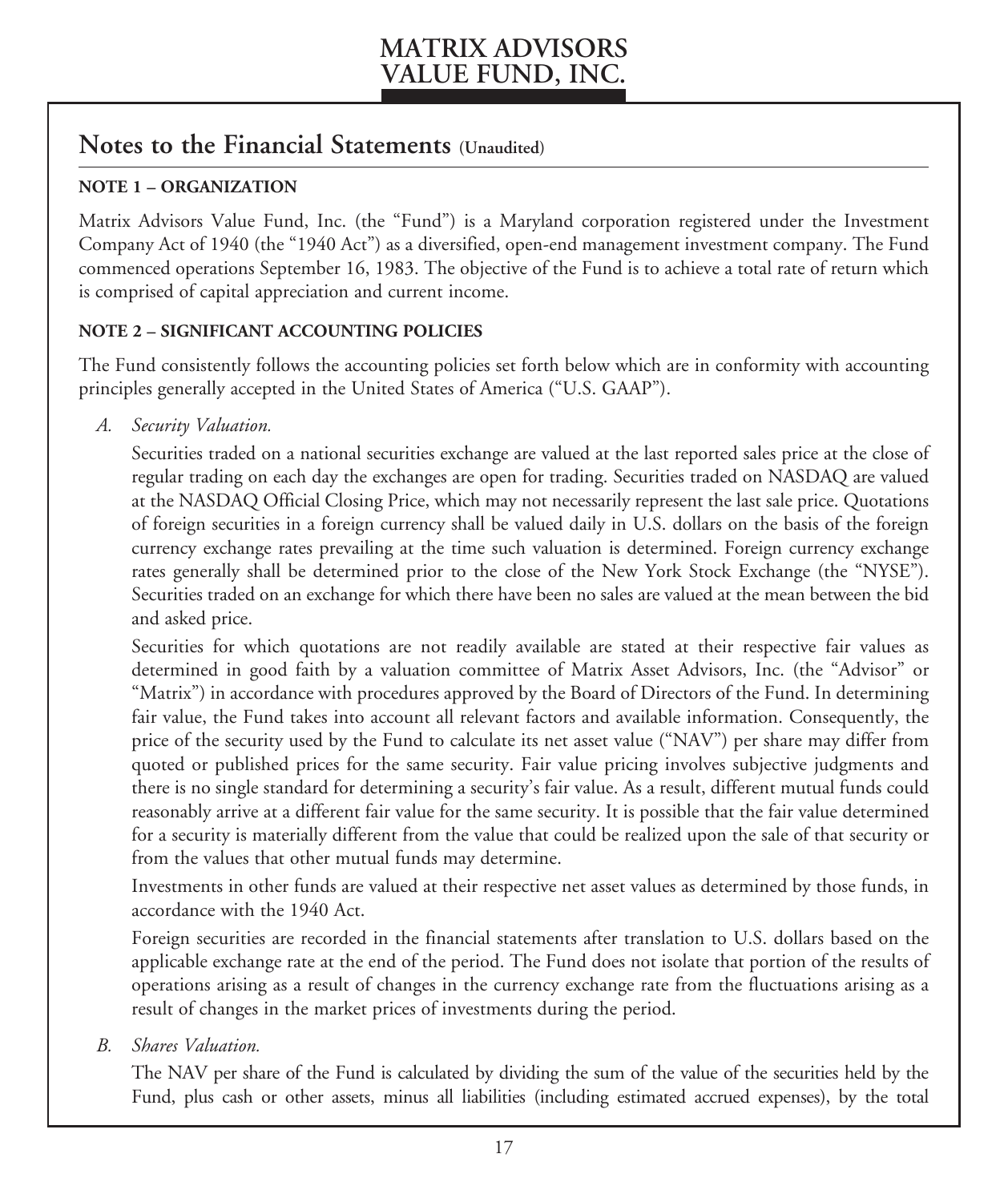### **Notes to the Financial Statements (Unaudited)**

#### **NOTE 1 – ORGANIZATION**

Matrix Advisors Value Fund, Inc. (the "Fund") is a Maryland corporation registered under the Investment Company Act of 1940 (the "1940 Act") as a diversified, open-end management investment company. The Fund commenced operations September 16, 1983. The objective of the Fund is to achieve a total rate of return which is comprised of capital appreciation and current income.

#### **NOTE 2 – SIGNIFICANT ACCOUNTING POLICIES**

The Fund consistently follows the accounting policies set forth below which are in conformity with accounting principles generally accepted in the United States of America ("U.S. GAAP").

*A. Security Valuation.* 

 Securities traded on a national securities exchange are valued at the last reported sales price at the close of regular trading on each day the exchanges are open for trading. Securities traded on NASDAQ are valued at the NASDAQ Official Closing Price, which may not necessarily represent the last sale price. Quotations of foreign securities in a foreign currency shall be valued daily in U.S. dollars on the basis of the foreign currency exchange rates prevailing at the time such valuation is determined. Foreign currency exchange rates generally shall be determined prior to the close of the New York Stock Exchange (the "NYSE"). Securities traded on an exchange for which there have been no sales are valued at the mean between the bid and asked price.

 Securities for which quotations are not readily available are stated at their respective fair values as determined in good faith by a valuation committee of Matrix Asset Advisors, Inc. (the "Advisor" or "Matrix") in accordance with procedures approved by the Board of Directors of the Fund. In determining fair value, the Fund takes into account all relevant factors and available information. Consequently, the price of the security used by the Fund to calculate its net asset value ("NAV") per share may differ from quoted or published prices for the same security. Fair value pricing involves subjective judgments and there is no single standard for determining a security's fair value. As a result, different mutual funds could reasonably arrive at a different fair value for the same security. It is possible that the fair value determined for a security is materially different from the value that could be realized upon the sale of that security or from the values that other mutual funds may determine.

 Investments in other funds are valued at their respective net asset values as determined by those funds, in accordance with the 1940 Act.

 Foreign securities are recorded in the financial statements after translation to U.S. dollars based on the applicable exchange rate at the end of the period. The Fund does not isolate that portion of the results of operations arising as a result of changes in the currency exchange rate from the fluctuations arising as a result of changes in the market prices of investments during the period.

*B. Shares Valuation.*

 The NAV per share of the Fund is calculated by dividing the sum of the value of the securities held by the Fund, plus cash or other assets, minus all liabilities (including estimated accrued expenses), by the total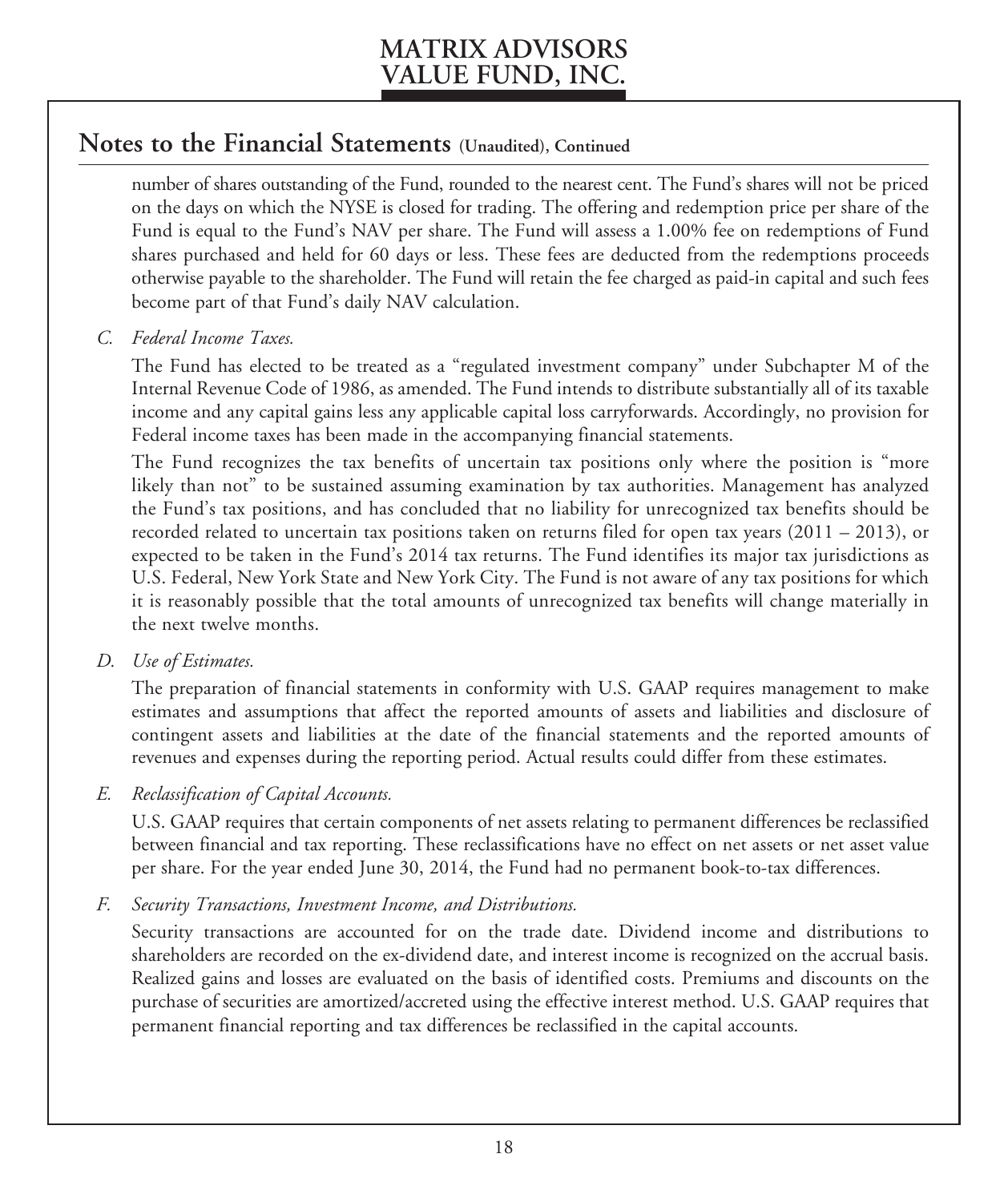### **Notes to the Financial Statements (Unaudited), Continued**

 number of shares outstanding of the Fund, rounded to the nearest cent. The Fund's shares will not be priced on the days on which the NYSE is closed for trading. The offering and redemption price per share of the Fund is equal to the Fund's NAV per share. The Fund will assess a 1.00% fee on redemptions of Fund shares purchased and held for 60 days or less. These fees are deducted from the redemptions proceeds otherwise payable to the shareholder. The Fund will retain the fee charged as paid-in capital and such fees become part of that Fund's daily NAV calculation.

*C. Federal Income Taxes.* 

 The Fund has elected to be treated as a "regulated investment company" under Subchapter M of the Internal Revenue Code of 1986, as amended. The Fund intends to distribute substantially all of its taxable income and any capital gains less any applicable capital loss carryforwards. Accordingly, no provision for Federal income taxes has been made in the accompanying financial statements.

 The Fund recognizes the tax benefits of uncertain tax positions only where the position is "more likely than not" to be sustained assuming examination by tax authorities. Management has analyzed the Fund's tax positions, and has concluded that no liability for unrecognized tax benefits should be recorded related to uncertain tax positions taken on returns filed for open tax years  $(2011 – 2013)$ , or expected to be taken in the Fund's 2014 tax returns. The Fund identifies its major tax jurisdictions as U.S. Federal, New York State and New York City. The Fund is not aware of any tax positions for which it is reasonably possible that the total amounts of unrecognized tax benefits will change materially in the next twelve months.

*D. Use of Estimates.* 

 The preparation of financial statements in conformity with U.S. GAAP requires management to make estimates and assumptions that affect the reported amounts of assets and liabilities and disclosure of contingent assets and liabilities at the date of the financial statements and the reported amounts of revenues and expenses during the reporting period. Actual results could differ from these estimates.

*E. Reclassification of Capital Accounts.* 

 U.S. GAAP requires that certain components of net assets relating to permanent differences be reclassified between financial and tax reporting. These reclassifications have no effect on net assets or net asset value per share. For the year ended June 30, 2014, the Fund had no permanent book-to-tax differences.

*F. Security Transactions, Investment Income, and Distributions.* 

 Security transactions are accounted for on the trade date. Dividend income and distributions to shareholders are recorded on the ex-dividend date, and interest income is recognized on the accrual basis. Realized gains and losses are evaluated on the basis of identified costs. Premiums and discounts on the purchase of securities are amortized/accreted using the effective interest method. U.S. GAAP requires that permanent financial reporting and tax differences be reclassified in the capital accounts.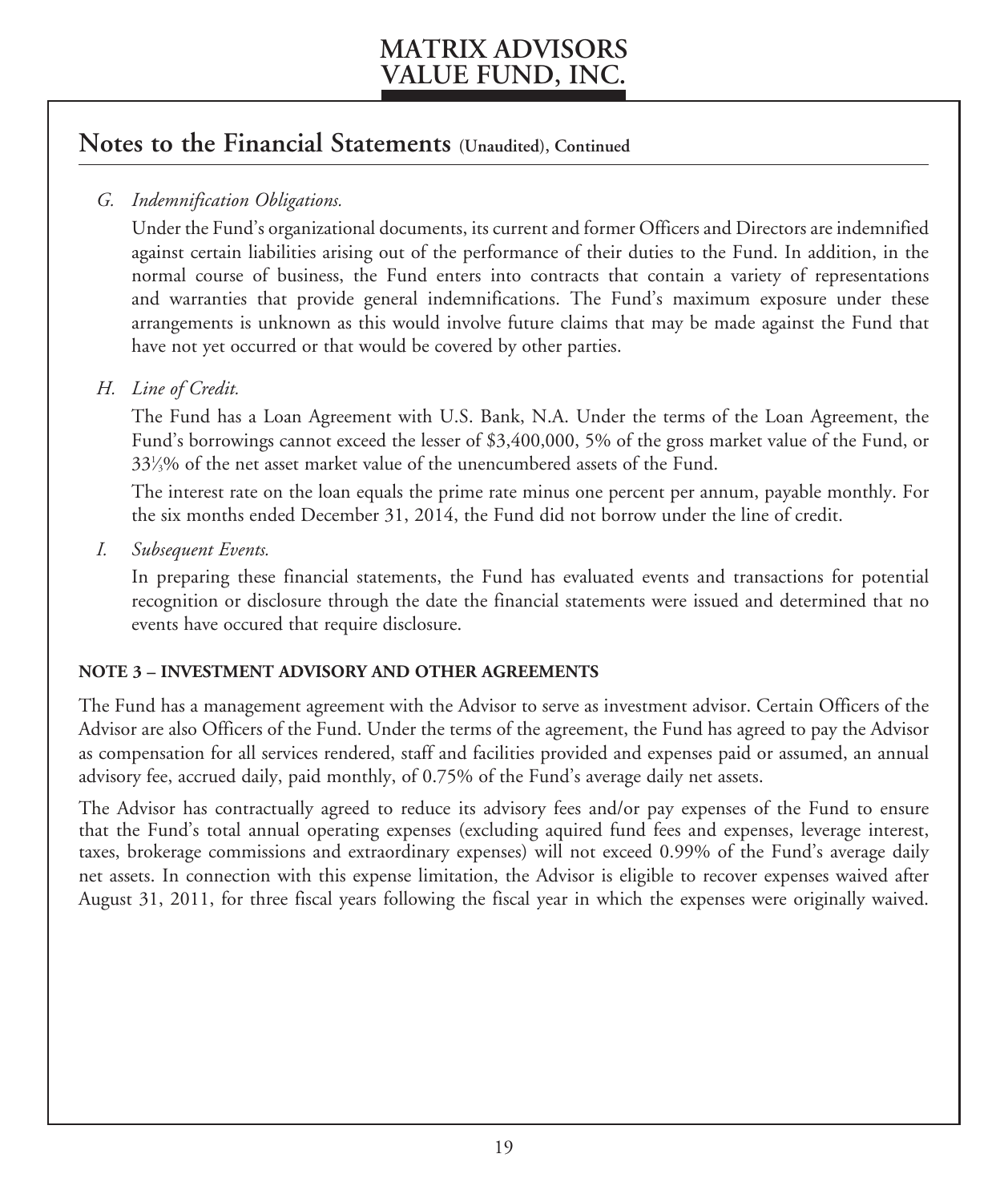### **Notes to the Financial Statements (Unaudited), Continued**

### *G. Indemnification Obligations.*

 Under the Fund's organizational documents, its current and former Officers and Directors are indemnified against certain liabilities arising out of the performance of their duties to the Fund. In addition, in the normal course of business, the Fund enters into contracts that contain a variety of representations and warranties that provide general indemnifications. The Fund's maximum exposure under these arrangements is unknown as this would involve future claims that may be made against the Fund that have not yet occurred or that would be covered by other parties.

### *H. Line of Credit.*

 The Fund has a Loan Agreement with U.S. Bank, N.A. Under the terms of the Loan Agreement, the Fund's borrowings cannot exceed the lesser of \$3,400,000, 5% of the gross market value of the Fund, or 331 ⁄3% of the net asset market value of the unencumbered assets of the Fund.

 The interest rate on the loan equals the prime rate minus one percent per annum, payable monthly. For the six months ended December 31, 2014, the Fund did not borrow under the line of credit.

*I. Subsequent Events.* 

 In preparing these financial statements, the Fund has evaluated events and transactions for potential recognition or disclosure through the date the financial statements were issued and determined that no events have occured that require disclosure.

#### **NOTE 3 – INVESTMENT ADVISORY AND OTHER AGREEMENTS**

The Fund has a management agreement with the Advisor to serve as investment advisor. Certain Officers of the Advisor are also Officers of the Fund. Under the terms of the agreement, the Fund has agreed to pay the Advisor as compensation for all services rendered, staff and facilities provided and expenses paid or assumed, an annual advisory fee, accrued daily, paid monthly, of 0.75% of the Fund's average daily net assets.

The Advisor has contractually agreed to reduce its advisory fees and/or pay expenses of the Fund to ensure that the Fund's total annual operating expenses (excluding aquired fund fees and expenses, leverage interest, taxes, brokerage commissions and extraordinary expenses) will not exceed 0.99% of the Fund's average daily net assets. In connection with this expense limitation, the Advisor is eligible to recover expenses waived after August 31, 2011, for three fiscal years following the fiscal year in which the expenses were originally waived.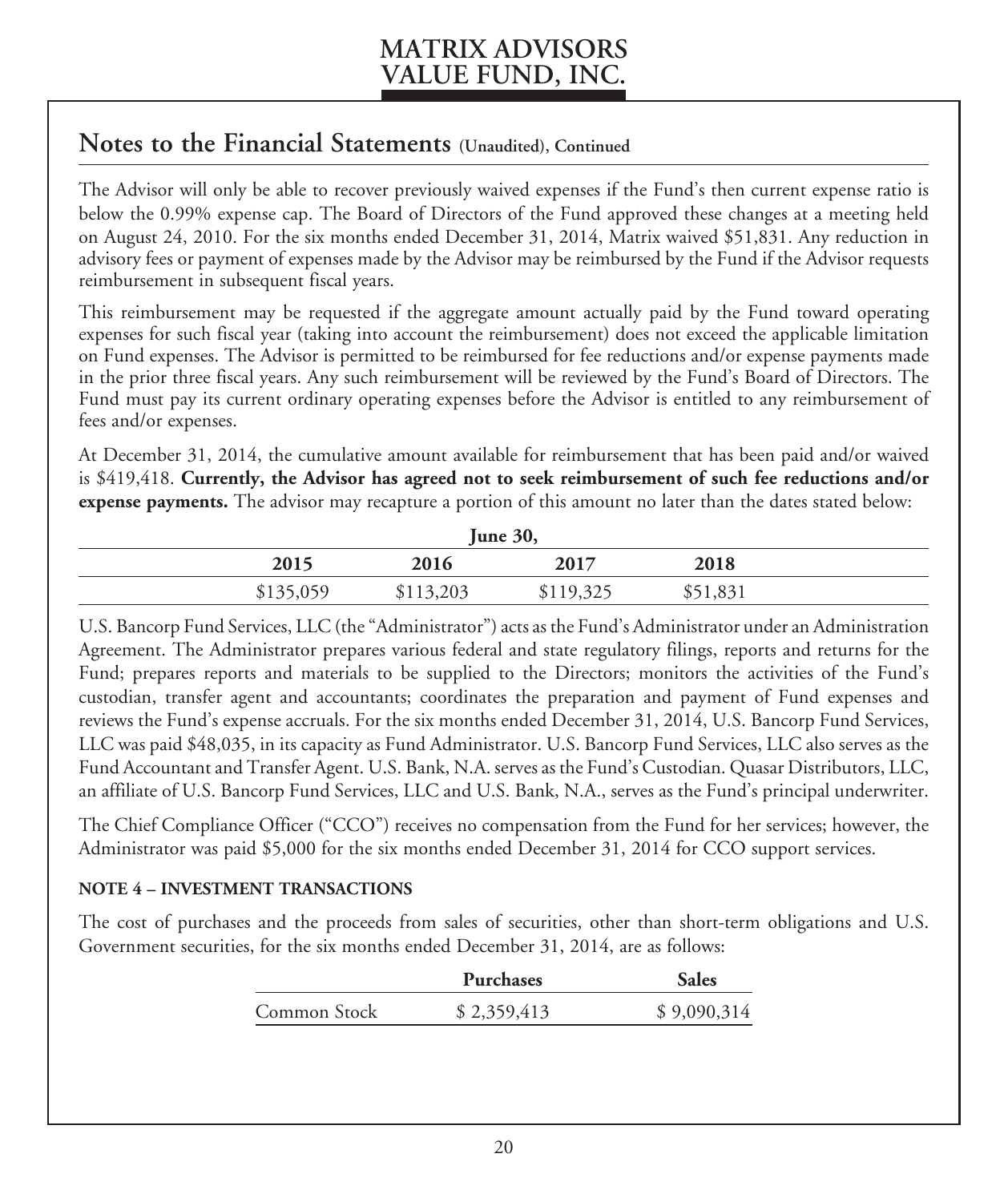### **Notes to the Financial Statements (Unaudited), Continued**

The Advisor will only be able to recover previously waived expenses if the Fund's then current expense ratio is below the 0.99% expense cap. The Board of Directors of the Fund approved these changes at a meeting held on August 24, 2010. For the six months ended December 31, 2014, Matrix waived \$51,831. Any reduction in advisory fees or payment of expenses made by the Advisor may be reimbursed by the Fund if the Advisor requests reimbursement in subsequent fiscal years.

This reimbursement may be requested if the aggregate amount actually paid by the Fund toward operating expenses for such fiscal year (taking into account the reimbursement) does not exceed the applicable limitation on Fund expenses. The Advisor is permitted to be reimbursed for fee reductions and/or expense payments made in the prior three fiscal years. Any such reimbursement will be reviewed by the Fund's Board of Directors. The Fund must pay its current ordinary operating expenses before the Advisor is entitled to any reimbursement of fees and/or expenses.

At December 31, 2014, the cumulative amount available for reimbursement that has been paid and/or waived is \$419,418. **Currently, the Advisor has agreed not to seek reimbursement of such fee reductions and/or expense payments.** The advisor may recapture a portion of this amount no later than the dates stated below:

| <b>June 30,</b> |           |           |           |          |  |
|-----------------|-----------|-----------|-----------|----------|--|
|                 | 2015      | 2016      | 2017      | 2018     |  |
|                 | \$135,059 | \$113,203 | \$119,325 | \$51,831 |  |

U.S. Bancorp Fund Services, LLC (the "Administrator") acts as the Fund's Administrator under an Administration Agreement. The Administrator prepares various federal and state regulatory filings, reports and returns for the Fund; prepares reports and materials to be supplied to the Directors; monitors the activities of the Fund's custodian, transfer agent and accountants; coordinates the preparation and payment of Fund expenses and reviews the Fund's expense accruals. For the six months ended December 31, 2014, U.S. Bancorp Fund Services, LLC was paid \$48,035, in its capacity as Fund Administrator. U.S. Bancorp Fund Services, LLC also serves as the Fund Accountant and Transfer Agent. U.S. Bank, N.A. serves as the Fund's Custodian. Quasar Distributors, LLC, an affiliate of U.S. Bancorp Fund Services, LLC and U.S. Bank, N.A., serves as the Fund's principal underwriter.

The Chief Compliance Officer ("CCO") receives no compensation from the Fund for her services; however, the Administrator was paid \$5,000 for the six months ended December 31, 2014 for CCO support services.

#### **NOTE 4 – INVESTMENT TRANSACTIONS**

The cost of purchases and the proceeds from sales of securities, other than short-term obligations and U.S. Government securities, for the six months ended December 31, 2014, are as follows:

|              | <b>Purchases</b> | <b>Sales</b> |
|--------------|------------------|--------------|
| Common Stock | \$2,359,413      | \$9,090,314  |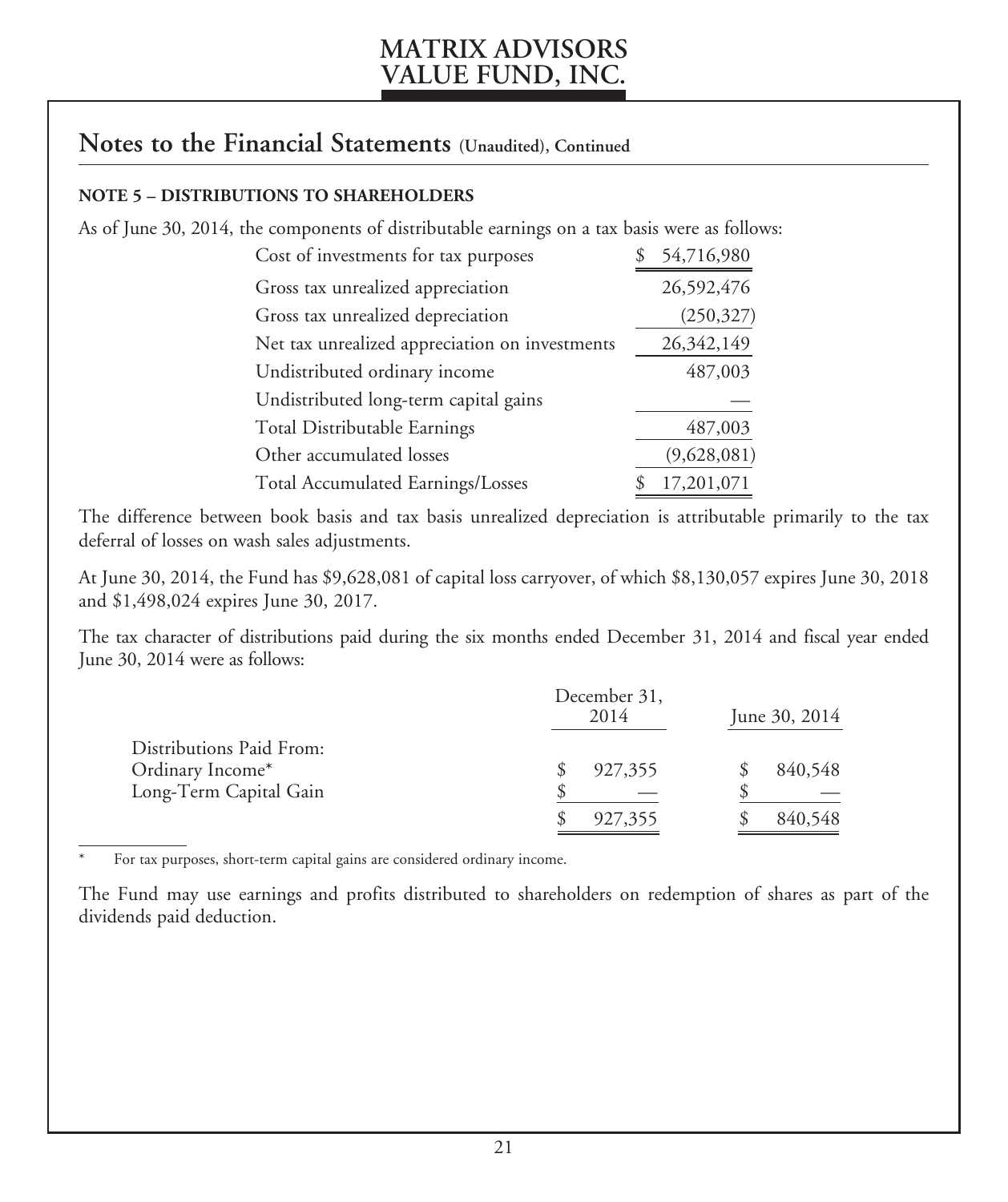### **Notes to the Financial Statements (Unaudited), Continued**

#### **NOTE 5 – DISTRIBUTIONS TO SHAREHOLDERS**

As of June 30, 2014, the components of distributable earnings on a tax basis were as follows:

| Cost of investments for tax purposes           | 54,716,980  |
|------------------------------------------------|-------------|
| Gross tax unrealized appreciation              | 26,592,476  |
| Gross tax unrealized depreciation              | (250, 327)  |
| Net tax unrealized appreciation on investments | 26,342,149  |
| Undistributed ordinary income                  | 487,003     |
| Undistributed long-term capital gains          |             |
| Total Distributable Earnings                   | 487,003     |
| Other accumulated losses                       | (9,628,081) |
| Total Accumulated Earnings/Losses              | 17,201,071  |

The difference between book basis and tax basis unrealized depreciation is attributable primarily to the tax deferral of losses on wash sales adjustments.

At June 30, 2014, the Fund has \$9,628,081 of capital loss carryover, of which \$8,130,057 expires June 30, 2018 and \$1,498,024 expires June 30, 2017.

The tax character of distributions paid during the six months ended December 31, 2014 and fiscal year ended June 30, 2014 were as follows:

|                                                                        | December 31,<br>2014 | June 30, 2014 |
|------------------------------------------------------------------------|----------------------|---------------|
| Distributions Paid From:<br>Ordinary Income*<br>Long-Term Capital Gain | 927,355              | 840,548       |
|                                                                        | 927,355              | 840,548       |

For tax purposes, short-term capital gains are considered ordinary income.

The Fund may use earnings and profits distributed to shareholders on redemption of shares as part of the dividends paid deduction.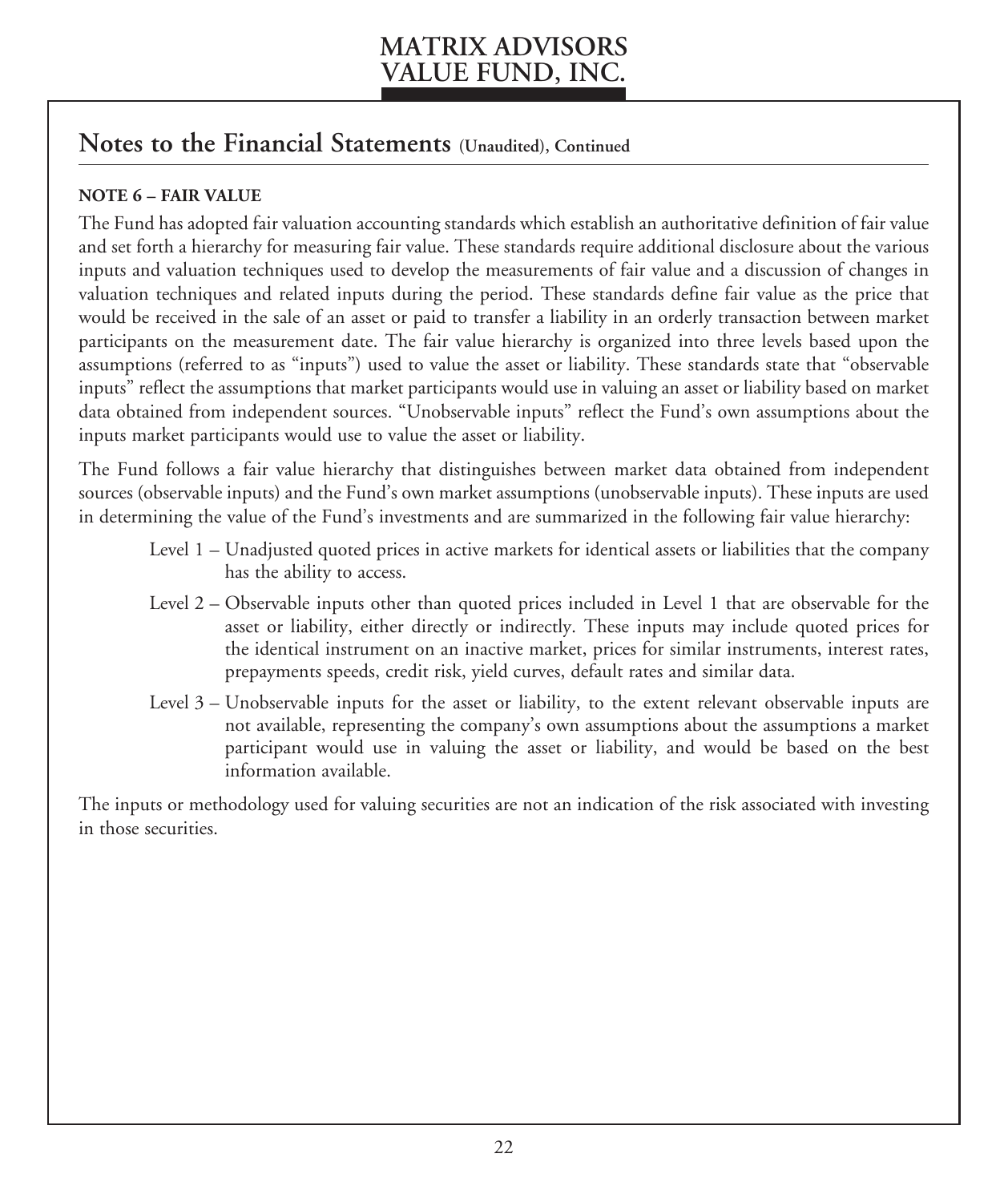### **Notes to the Financial Statements (Unaudited), Continued**

### **NOTE 6 – FAIR VALUE**

The Fund has adopted fair valuation accounting standards which establish an authoritative definition of fair value and set forth a hierarchy for measuring fair value. These standards require additional disclosure about the various inputs and valuation techniques used to develop the measurements of fair value and a discussion of changes in valuation techniques and related inputs during the period. These standards define fair value as the price that would be received in the sale of an asset or paid to transfer a liability in an orderly transaction between market participants on the measurement date. The fair value hierarchy is organized into three levels based upon the assumptions (referred to as "inputs") used to value the asset or liability. These standards state that "observable inputs" reflect the assumptions that market participants would use in valuing an asset or liability based on market data obtained from independent sources. "Unobservable inputs" reflect the Fund's own assumptions about the inputs market participants would use to value the asset or liability.

The Fund follows a fair value hierarchy that distinguishes between market data obtained from independent sources (observable inputs) and the Fund's own market assumptions (unobservable inputs). These inputs are used in determining the value of the Fund's investments and are summarized in the following fair value hierarchy:

- Level 1 Unadjusted quoted prices in active markets for identical assets or liabilities that the company has the ability to access.
- Level 2 Observable inputs other than quoted prices included in Level 1 that are observable for the asset or liability, either directly or indirectly. These inputs may include quoted prices for the identical instrument on an inactive market, prices for similar instruments, interest rates, prepayments speeds, credit risk, yield curves, default rates and similar data.
- Level 3 Unobservable inputs for the asset or liability, to the extent relevant observable inputs are not available, representing the company's own assumptions about the assumptions a market participant would use in valuing the asset or liability, and would be based on the best information available.

The inputs or methodology used for valuing securities are not an indication of the risk associated with investing in those securities.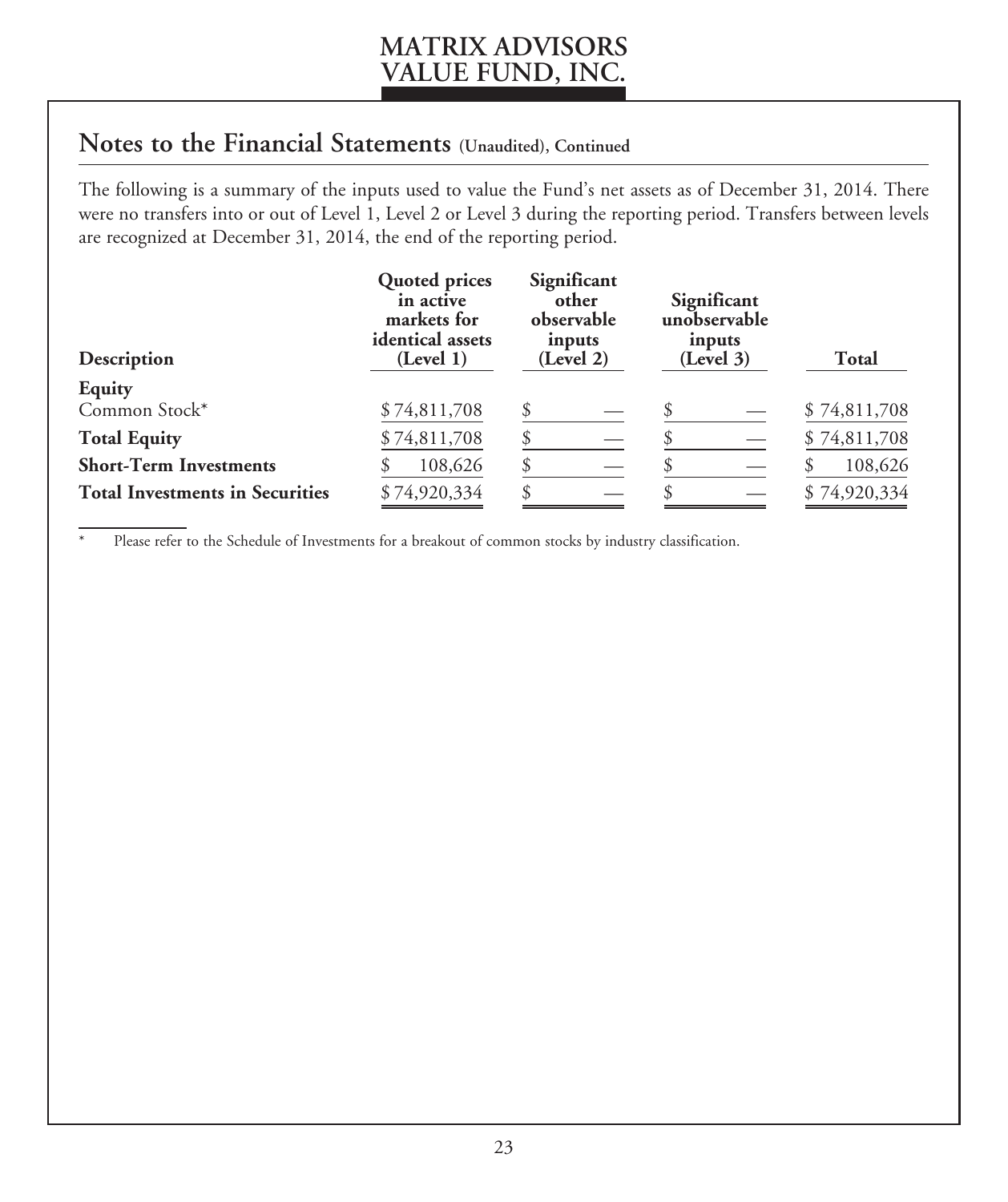## **Notes to the Financial Statements (Unaudited), Continued**

The following is a summary of the inputs used to value the Fund's net assets as of December 31, 2014. There were no transfers into or out of Level 1, Level 2 or Level 3 during the reporting period. Transfers between levels are recognized at December 31, 2014, the end of the reporting period.

| Description                            | <b>Quoted prices</b><br>in active<br>markets for<br>identical assets<br>(Level 1) | Significant<br>other<br>observable<br>inputs<br>(Level 2) | Significant<br>unobservable<br>inputs<br>(Level 3) | <b>Total</b> |
|----------------------------------------|-----------------------------------------------------------------------------------|-----------------------------------------------------------|----------------------------------------------------|--------------|
| Equity                                 |                                                                                   |                                                           |                                                    |              |
| Common Stock*                          | \$74,811,708                                                                      |                                                           |                                                    | \$74,811,708 |
| <b>Total Equity</b>                    | \$74,811,708                                                                      |                                                           |                                                    | \$74,811,708 |
| <b>Short-Term Investments</b>          | 108,626                                                                           | S                                                         |                                                    | 108,626      |
| <b>Total Investments in Securities</b> | \$74,920,334                                                                      |                                                           |                                                    | \$74,920,334 |

Please refer to the Schedule of Investments for a breakout of common stocks by industry classification.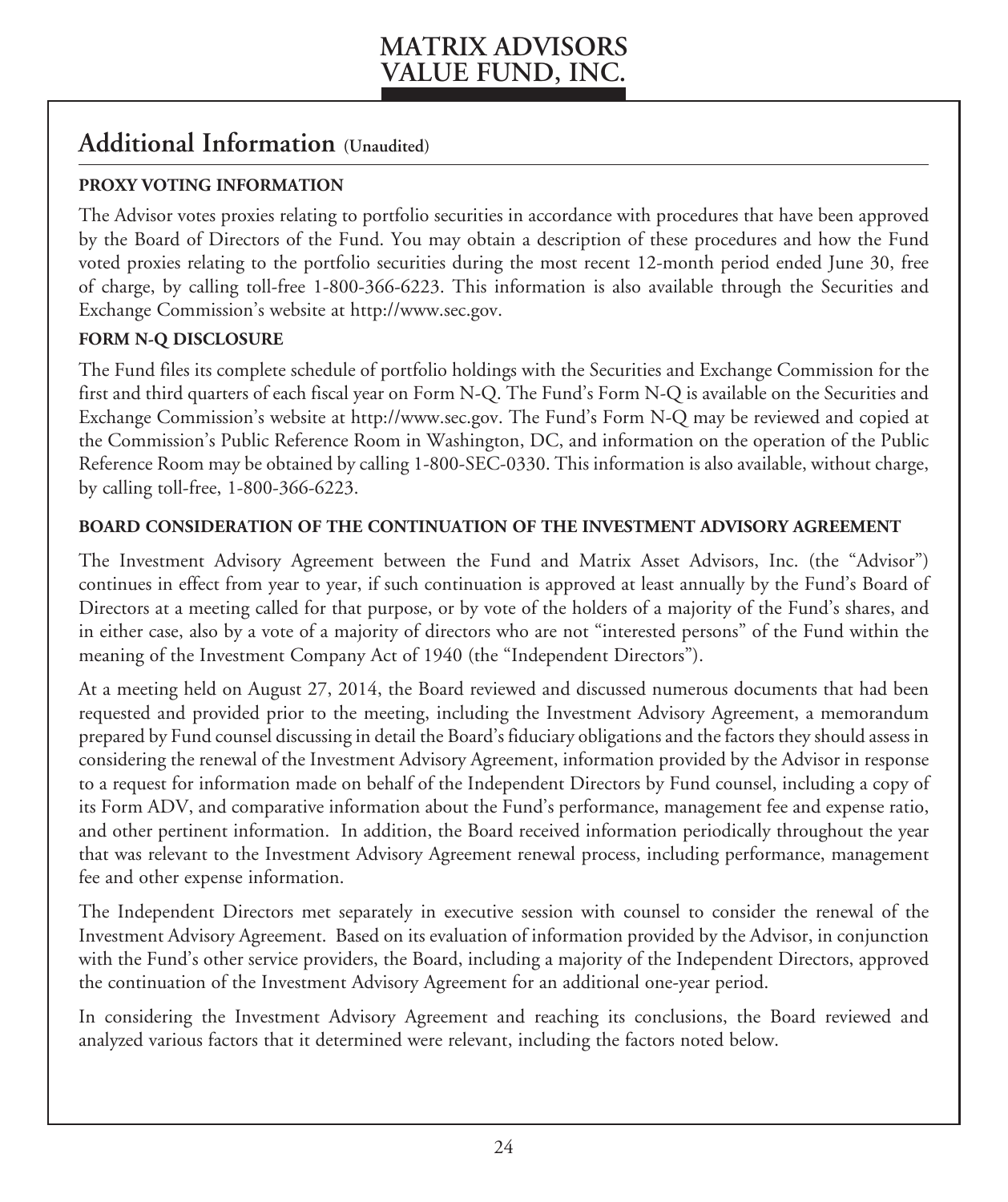### **Additional Information (Unaudited)**

#### **PROXY VOTING INFORMATION**

The Advisor votes proxies relating to portfolio securities in accordance with procedures that have been approved by the Board of Directors of the Fund. You may obtain a description of these procedures and how the Fund voted proxies relating to the portfolio securities during the most recent 12-month period ended June 30, free of charge, by calling toll-free 1-800-366-6223. This information is also available through the Securities and Exchange Commission's website at http://www.sec.gov.

#### **FORM N-Q DISCLOSURE**

The Fund files its complete schedule of portfolio holdings with the Securities and Exchange Commission for the first and third quarters of each fiscal year on Form N-Q. The Fund's Form N-Q is available on the Securities and Exchange Commission's website at http://www.sec.gov. The Fund's Form N-Q may be reviewed and copied at the Commission's Public Reference Room in Washington, DC, and information on the operation of the Public Reference Room may be obtained by calling 1-800-SEC-0330. This information is also available, without charge, by calling toll-free, 1-800-366-6223.

#### **BOARD CONSIDERATION OF THE CONTINUATION OF THE INVESTMENT ADVISORY AGREEMENT**

The Investment Advisory Agreement between the Fund and Matrix Asset Advisors, Inc. (the "Advisor") continues in effect from year to year, if such continuation is approved at least annually by the Fund's Board of Directors at a meeting called for that purpose, or by vote of the holders of a majority of the Fund's shares, and in either case, also by a vote of a majority of directors who are not "interested persons" of the Fund within the meaning of the Investment Company Act of 1940 (the "Independent Directors").

At a meeting held on August 27, 2014, the Board reviewed and discussed numerous documents that had been requested and provided prior to the meeting, including the Investment Advisory Agreement, a memorandum prepared by Fund counsel discussing in detail the Board's fiduciary obligations and the factors they should assess in considering the renewal of the Investment Advisory Agreement, information provided by the Advisor in response to a request for information made on behalf of the Independent Directors by Fund counsel, including a copy of its Form ADV, and comparative information about the Fund's performance, management fee and expense ratio, and other pertinent information. In addition, the Board received information periodically throughout the year that was relevant to the Investment Advisory Agreement renewal process, including performance, management fee and other expense information.

The Independent Directors met separately in executive session with counsel to consider the renewal of the Investment Advisory Agreement. Based on its evaluation of information provided by the Advisor, in conjunction with the Fund's other service providers, the Board, including a majority of the Independent Directors, approved the continuation of the Investment Advisory Agreement for an additional one-year period.

In considering the Investment Advisory Agreement and reaching its conclusions, the Board reviewed and analyzed various factors that it determined were relevant, including the factors noted below.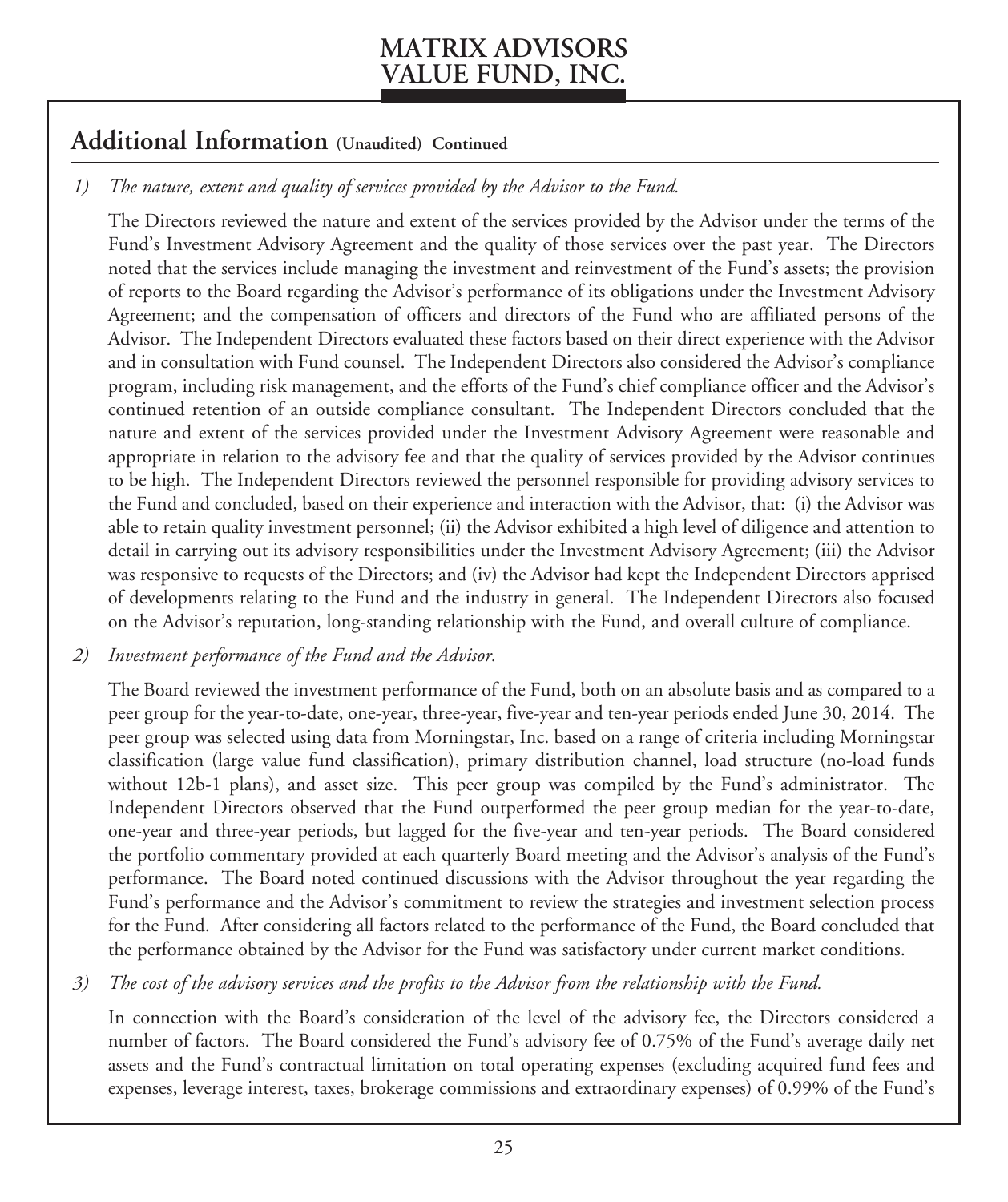### **Additional Information (Unaudited) Continued**

### *1) The nature, extent and quality of services provided by the Advisor to the Fund.*

The Directors reviewed the nature and extent of the services provided by the Advisor under the terms of the Fund's Investment Advisory Agreement and the quality of those services over the past year. The Directors noted that the services include managing the investment and reinvestment of the Fund's assets; the provision of reports to the Board regarding the Advisor's performance of its obligations under the Investment Advisory Agreement; and the compensation of officers and directors of the Fund who are affiliated persons of the Advisor. The Independent Directors evaluated these factors based on their direct experience with the Advisor and in consultation with Fund counsel. The Independent Directors also considered the Advisor's compliance program, including risk management, and the efforts of the Fund's chief compliance officer and the Advisor's continued retention of an outside compliance consultant. The Independent Directors concluded that the nature and extent of the services provided under the Investment Advisory Agreement were reasonable and appropriate in relation to the advisory fee and that the quality of services provided by the Advisor continues to be high. The Independent Directors reviewed the personnel responsible for providing advisory services to the Fund and concluded, based on their experience and interaction with the Advisor, that: (i) the Advisor was able to retain quality investment personnel; (ii) the Advisor exhibited a high level of diligence and attention to detail in carrying out its advisory responsibilities under the Investment Advisory Agreement; (iii) the Advisor was responsive to requests of the Directors; and (iv) the Advisor had kept the Independent Directors apprised of developments relating to the Fund and the industry in general. The Independent Directors also focused on the Advisor's reputation, long-standing relationship with the Fund, and overall culture of compliance.

#### *2) Investment performance of the Fund and the Advisor.*

The Board reviewed the investment performance of the Fund, both on an absolute basis and as compared to a peer group for the year-to-date, one-year, three-year, five-year and ten-year periods ended June 30, 2014. The peer group was selected using data from Morningstar, Inc. based on a range of criteria including Morningstar classification (large value fund classification), primary distribution channel, load structure (no-load funds without 12b-1 plans), and asset size. This peer group was compiled by the Fund's administrator. The Independent Directors observed that the Fund outperformed the peer group median for the year-to-date, one-year and three-year periods, but lagged for the five-year and ten-year periods. The Board considered the portfolio commentary provided at each quarterly Board meeting and the Advisor's analysis of the Fund's performance. The Board noted continued discussions with the Advisor throughout the year regarding the Fund's performance and the Advisor's commitment to review the strategies and investment selection process for the Fund. After considering all factors related to the performance of the Fund, the Board concluded that the performance obtained by the Advisor for the Fund was satisfactory under current market conditions.

#### *3) The cost of the advisory services and the profits to the Advisor from the relationship with the Fund.*

In connection with the Board's consideration of the level of the advisory fee, the Directors considered a number of factors. The Board considered the Fund's advisory fee of 0.75% of the Fund's average daily net assets and the Fund's contractual limitation on total operating expenses (excluding acquired fund fees and expenses, leverage interest, taxes, brokerage commissions and extraordinary expenses) of 0.99% of the Fund's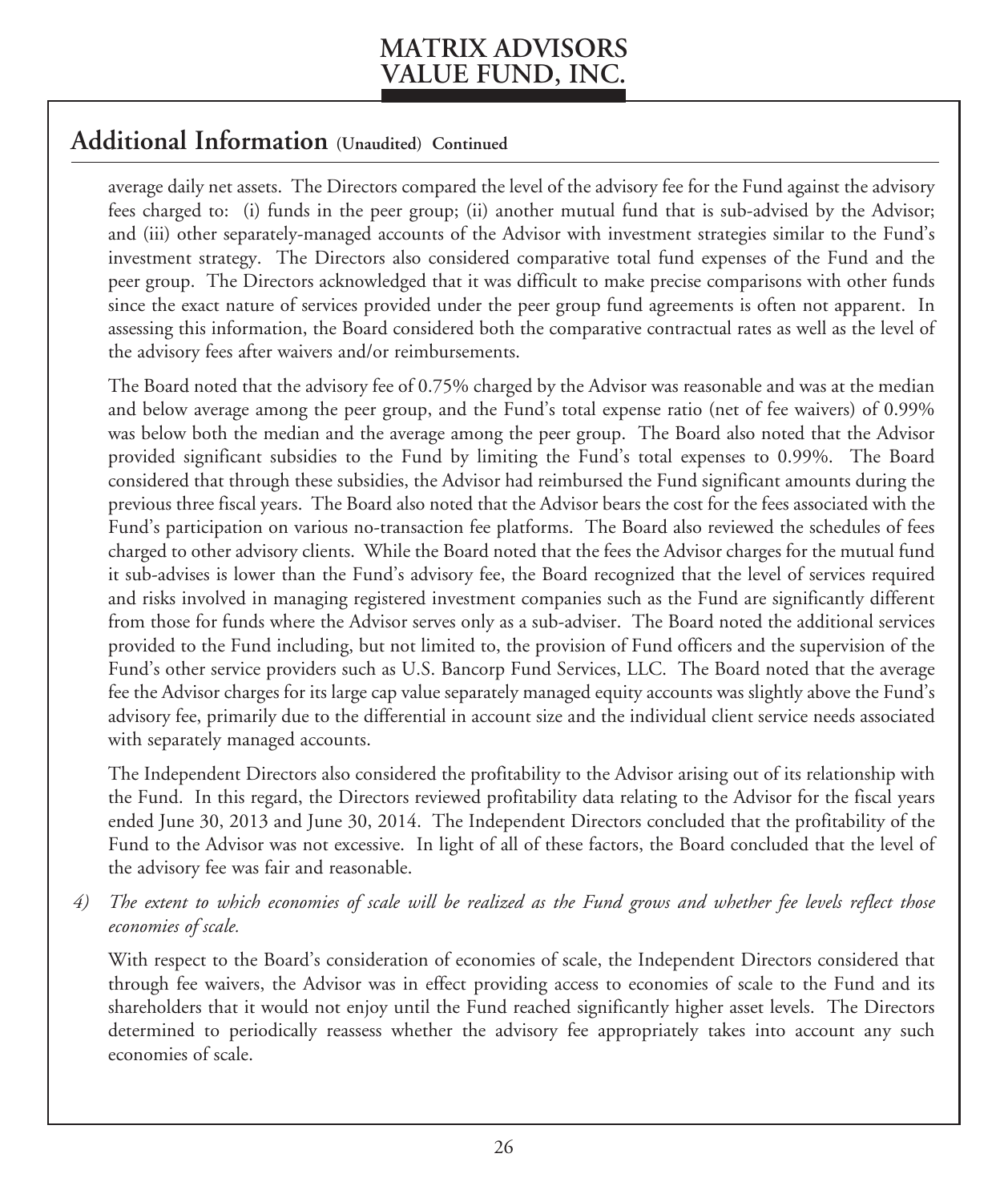### **Additional Information (Unaudited) Continued**

average daily net assets. The Directors compared the level of the advisory fee for the Fund against the advisory fees charged to: (i) funds in the peer group; (ii) another mutual fund that is sub-advised by the Advisor; and (iii) other separately-managed accounts of the Advisor with investment strategies similar to the Fund's investment strategy. The Directors also considered comparative total fund expenses of the Fund and the peer group. The Directors acknowledged that it was difficult to make precise comparisons with other funds since the exact nature of services provided under the peer group fund agreements is often not apparent. In assessing this information, the Board considered both the comparative contractual rates as well as the level of the advisory fees after waivers and/or reimbursements.

The Board noted that the advisory fee of 0.75% charged by the Advisor was reasonable and was at the median and below average among the peer group, and the Fund's total expense ratio (net of fee waivers) of 0.99% was below both the median and the average among the peer group. The Board also noted that the Advisor provided significant subsidies to the Fund by limiting the Fund's total expenses to 0.99%. The Board considered that through these subsidies, the Advisor had reimbursed the Fund significant amounts during the previous three fiscal years. The Board also noted that the Advisor bears the cost for the fees associated with the Fund's participation on various no-transaction fee platforms. The Board also reviewed the schedules of fees charged to other advisory clients. While the Board noted that the fees the Advisor charges for the mutual fund it sub-advises is lower than the Fund's advisory fee, the Board recognized that the level of services required and risks involved in managing registered investment companies such as the Fund are significantly different from those for funds where the Advisor serves only as a sub-adviser. The Board noted the additional services provided to the Fund including, but not limited to, the provision of Fund officers and the supervision of the Fund's other service providers such as U.S. Bancorp Fund Services, LLC. The Board noted that the average fee the Advisor charges for its large cap value separately managed equity accounts was slightly above the Fund's advisory fee, primarily due to the differential in account size and the individual client service needs associated with separately managed accounts.

The Independent Directors also considered the profitability to the Advisor arising out of its relationship with the Fund. In this regard, the Directors reviewed profitability data relating to the Advisor for the fiscal years ended June 30, 2013 and June 30, 2014. The Independent Directors concluded that the profitability of the Fund to the Advisor was not excessive. In light of all of these factors, the Board concluded that the level of the advisory fee was fair and reasonable.

*4) The extent to which economies of scale will be realized as the Fund grows and whether fee levels reflect those economies of scale.*

With respect to the Board's consideration of economies of scale, the Independent Directors considered that through fee waivers, the Advisor was in effect providing access to economies of scale to the Fund and its shareholders that it would not enjoy until the Fund reached significantly higher asset levels. The Directors determined to periodically reassess whether the advisory fee appropriately takes into account any such economies of scale.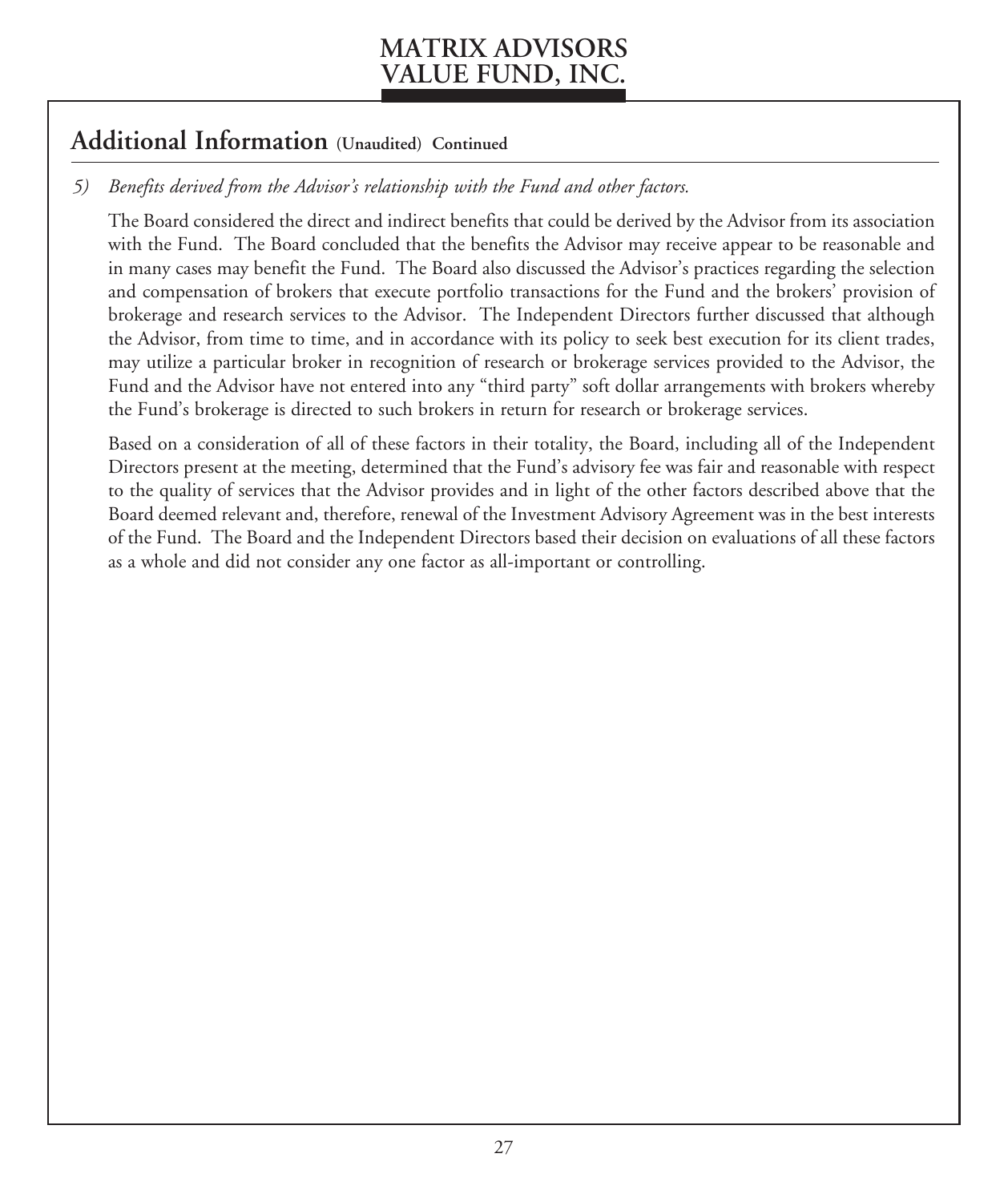### **Additional Information (Unaudited) Continued**

### *5) Benefits derived from the Advisor's relationship with the Fund and other factors.*

The Board considered the direct and indirect benefits that could be derived by the Advisor from its association with the Fund. The Board concluded that the benefits the Advisor may receive appear to be reasonable and in many cases may benefit the Fund. The Board also discussed the Advisor's practices regarding the selection and compensation of brokers that execute portfolio transactions for the Fund and the brokers' provision of brokerage and research services to the Advisor. The Independent Directors further discussed that although the Advisor, from time to time, and in accordance with its policy to seek best execution for its client trades, may utilize a particular broker in recognition of research or brokerage services provided to the Advisor, the Fund and the Advisor have not entered into any "third party" soft dollar arrangements with brokers whereby the Fund's brokerage is directed to such brokers in return for research or brokerage services.

Based on a consideration of all of these factors in their totality, the Board, including all of the Independent Directors present at the meeting, determined that the Fund's advisory fee was fair and reasonable with respect to the quality of services that the Advisor provides and in light of the other factors described above that the Board deemed relevant and, therefore, renewal of the Investment Advisory Agreement was in the best interests of the Fund. The Board and the Independent Directors based their decision on evaluations of all these factors as a whole and did not consider any one factor as all-important or controlling.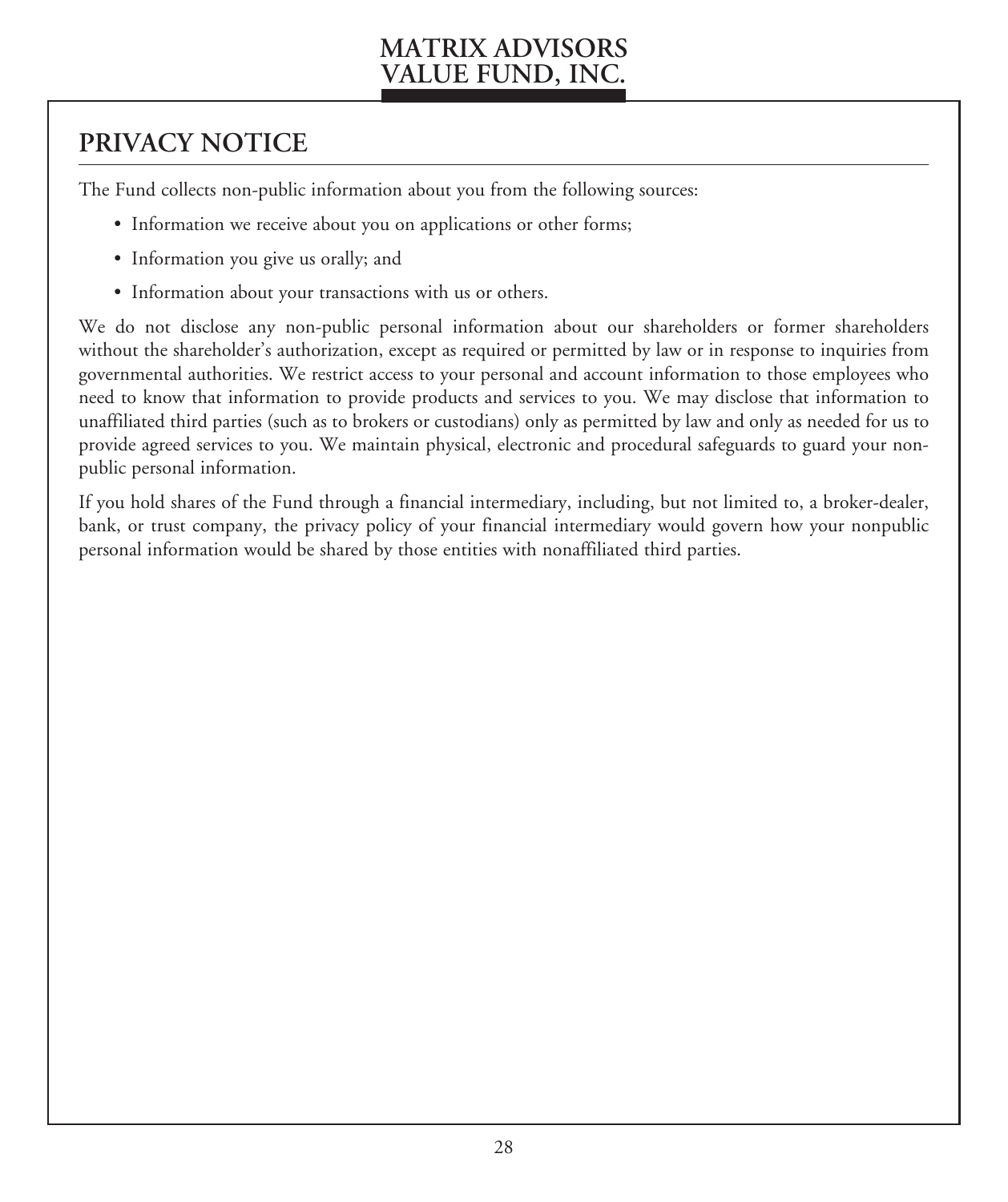# **PRIVACY NOTICE**

The Fund collects non-public information about you from the following sources:

- Information we receive about you on applications or other forms;
- Information you give us orally; and
- Information about your transactions with us or others.

We do not disclose any non-public personal information about our shareholders or former shareholders without the shareholder's authorization, except as required or permitted by law or in response to inquiries from governmental authorities. We restrict access to your personal and account information to those employees who need to know that information to provide products and services to you. We may disclose that information to unaffiliated third parties (such as to brokers or custodians) only as permitted by law and only as needed for us to provide agreed services to you. We maintain physical, electronic and procedural safeguards to guard your nonpublic personal information.

If you hold shares of the Fund through a financial intermediary, including, but not limited to, a broker-dealer, bank, or trust company, the privacy policy of your financial intermediary would govern how your nonpublic personal information would be shared by those entities with nonaffiliated third parties.